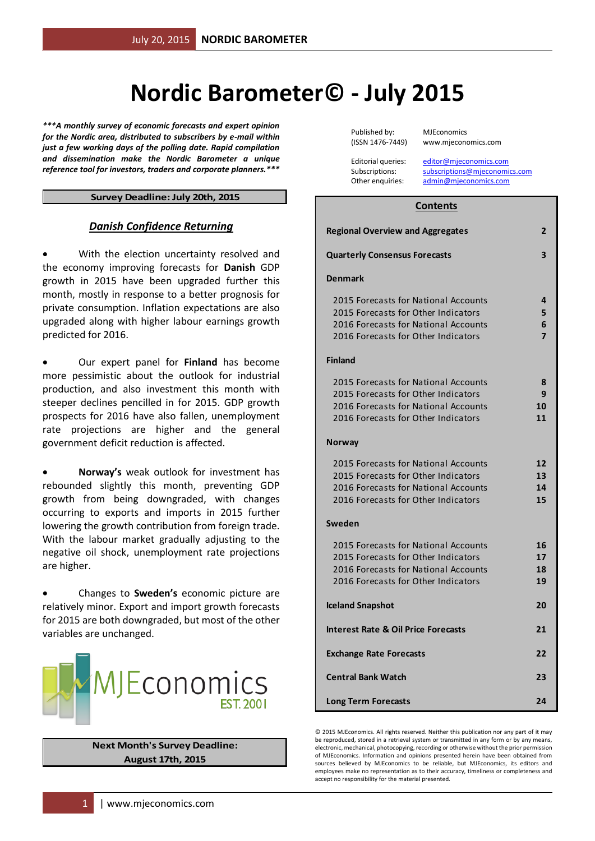# **Nordic Barometer© - July 2015**

*\*\*\*A monthly survey of economic forecasts and expert opinion for the Nordic area, distributed to subscribers by e-mail within just a few working days of the polling date. Rapid compilation and dissemination make the Nordic Barometer a unique reference tool for investors, traders and corporate planners.\*\*\**

#### **Survey Deadline: July 20th, 2015**

#### *Danish Confidence Returning*

 With the election uncertainty resolved and the economy improving forecasts for **Danish** GDP growth in 2015 have been upgraded further this month, mostly in response to a better prognosis for private consumption. Inflation expectations are also upgraded along with higher labour earnings growth predicted for 2016.

 Our expert panel for **Finland** has become more pessimistic about the outlook for industrial production, and also investment this month with steeper declines pencilled in for 2015. GDP growth prospects for 2016 have also fallen, unemployment rate projections are higher and the general government deficit reduction is affected.

 **Norway's** weak outlook for investment has rebounded slightly this month, preventing GDP growth from being downgraded, with changes occurring to exports and imports in 2015 further lowering the growth contribution from foreign trade. With the labour market gradually adjusting to the negative oil shock, unemployment rate projections are higher.

 Changes to **Sweden's** economic picture are relatively minor. Export and import growth forecasts for 2015 are both downgraded, but most of the other variables are unchanged.



# **Next Month's Survey Deadline: August 17th, 2015**

Published by: MJEconomics (ISSN 1476-7449) www.mjeconomics.com

Editorial queries: [editor@mjeconomics.com](mailto:editor@mjeconomics.com)<br>Subscriptions: subscriptions@mieconomi subscriptions@mieconomics.com Other enquiries: [admin@mjeconomics.com](mailto:admin@mjeconomics.com)

#### **Contents**

| <b>Regional Overview and Aggregates</b>                                                                                                                    | 2                             |
|------------------------------------------------------------------------------------------------------------------------------------------------------------|-------------------------------|
| <b>Quarterly Consensus Forecasts</b>                                                                                                                       | 3                             |
| <b>Denmark</b>                                                                                                                                             |                               |
| 2015 Forecasts for National Accounts<br>2015 Forecasts for Other Indicators<br>2016 Forecasts for National Accounts<br>2016 Forecasts for Other Indicators | 4<br>5<br>6<br>$\overline{7}$ |
| <b>Finland</b>                                                                                                                                             |                               |
| 2015 Forecasts for National Accounts<br>2015 Forecasts for Other Indicators<br>2016 Forecasts for National Accounts<br>2016 Forecasts for Other Indicators | 8<br>9<br>10<br>11            |
| <b>Norway</b>                                                                                                                                              |                               |
| 2015 Forecasts for National Accounts<br>2015 Forecasts for Other Indicators<br>2016 Forecasts for National Accounts<br>2016 Forecasts for Other Indicators | 12<br>13<br>14<br>15          |
| Sweden                                                                                                                                                     |                               |
| 2015 Forecasts for National Accounts<br>2015 Forecasts for Other Indicators<br>2016 Forecasts for National Accounts<br>2016 Forecasts for Other Indicators | 16<br>17<br>18<br>19          |
| <b>Iceland Snapshot</b>                                                                                                                                    | 20                            |
| <b>Interest Rate &amp; Oil Price Forecasts</b>                                                                                                             | 21                            |
| <b>Exchange Rate Forecasts</b>                                                                                                                             | 22                            |
| <b>Central Bank Watch</b>                                                                                                                                  | 23                            |
| <b>Long Term Forecasts</b>                                                                                                                                 | 24                            |

© 2015 MJEconomics. All rights reserved. Neither this publication nor any part of it may be reproduced, stored in a retrieval system or transmitted in any form or by any means, electronic, mechanical, photocopying, recording or otherwise without the prior permission of MJEconomics. Information and opinions presented herein have been obtained from sources believed by MJEconomics to be reliable, but MJEconomics, its editors and employees make no representation as to their accuracy, timeliness or completeness and accept no responsibility for the material presented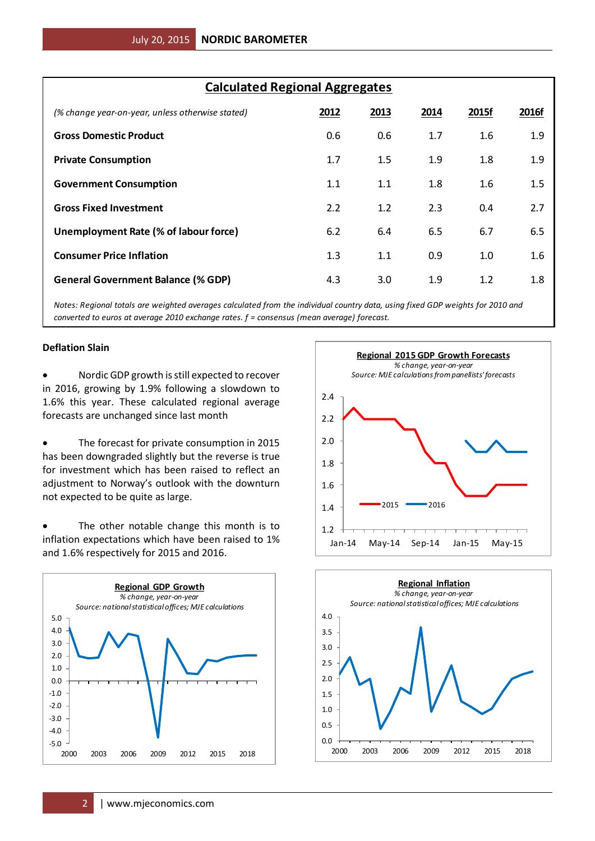| <b>Calculated Regional Aggregates</b>            |      |      |      |       |       |  |  |  |  |  |
|--------------------------------------------------|------|------|------|-------|-------|--|--|--|--|--|
| (% change year-on-year, unless otherwise stated) | 2012 | 2013 | 2014 | 2015f | 2016f |  |  |  |  |  |
| <b>Gross Domestic Product</b>                    | 0.6  | 0.6  | 1.7  | 1.6   | 1.9   |  |  |  |  |  |
| <b>Private Consumption</b>                       | 1.7  | 1.5  | 1.9  | 1.8   | 1.9   |  |  |  |  |  |
| <b>Government Consumption</b>                    | 1.1  | 1.1  | 1.8  | 1.6   | 1.5   |  |  |  |  |  |
| <b>Gross Fixed Investment</b>                    | 2.2  | 1.2  | 2.3  | 0.4   | 2.7   |  |  |  |  |  |
| Unemployment Rate (% of labour force)            | 6.2  | 6.4  | 6.5  | 6.7   | 6.5   |  |  |  |  |  |
| <b>Consumer Price Inflation</b>                  | 1.3  | 1.1  | 0.9  | 1.0   | 1.6   |  |  |  |  |  |
| <b>General Government Balance (% GDP)</b>        | 4.3  | 3.0  | 1.9  | 1.2   | 1.8   |  |  |  |  |  |

*Notes: Regional totals are weighted averages calculated from the individual country data, using fixed GDP weights for 2010 and converted to euros at average 2010 exchange rates. f = consensus (mean average) forecast.*

# **Deflation Slain**

 Nordic GDP growth is still expected to recover in 2016, growing by 1.9% following a slowdown to 1.6% this year. These calculated regional average forecasts are unchanged since last month

• The forecast for private consumption in 2015 has been downgraded slightly but the reverse is true for investment which has been raised to reflect an adjustment to Norway's outlook with the downturn not expected to be quite as large.

• The other notable change this month is to inflation expectations which have been raised to 1% and 1.6% respectively for 2015 and 2016.





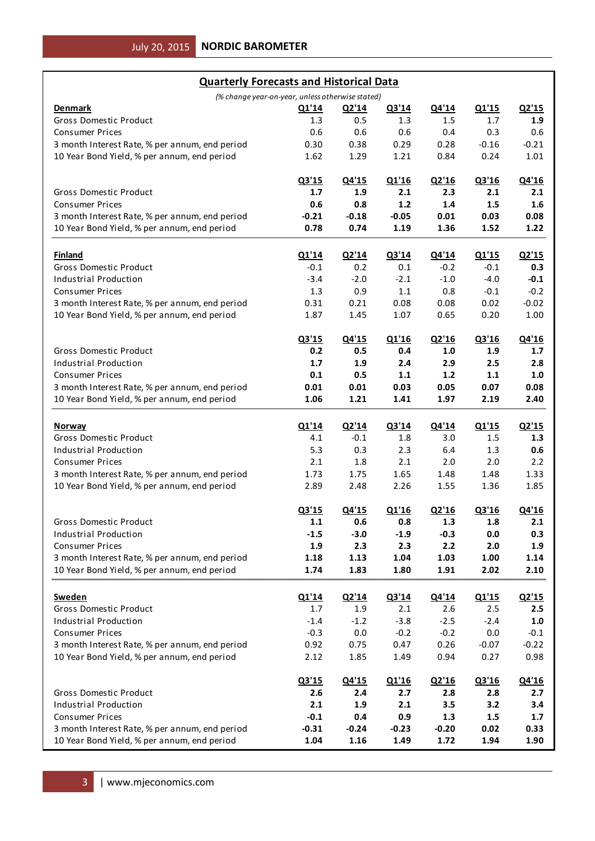| <b>Quarterly Forecasts and Historical Data</b>                                                |                 |                 |                 |                 |              |              |
|-----------------------------------------------------------------------------------------------|-----------------|-----------------|-----------------|-----------------|--------------|--------------|
| (% change year-on-year, unless otherwise stated)                                              |                 |                 |                 |                 |              |              |
| Denmark                                                                                       | Q1'14           | <u>Q2'14</u>    | Q3'14           | Q4'14           | Q1'15        | Q2'15        |
| <b>Gross Domestic Product</b>                                                                 | 1.3             | 0.5             | 1.3             | 1.5             | 1.7          | 1.9          |
| <b>Consumer Prices</b>                                                                        | 0.6             | 0.6             | 0.6             | 0.4             | 0.3          | 0.6          |
| 3 month Interest Rate, % per annum, end period                                                | 0.30            | 0.38            | 0.29            | 0.28            | $-0.16$      | $-0.21$      |
| 10 Year Bond Yield, % per annum, end period                                                   | 1.62            | 1.29            | 1.21            | 0.84            | 0.24         | 1.01         |
|                                                                                               |                 |                 |                 |                 |              |              |
|                                                                                               | Q3'15           | Q4'15           | Q1'16           | Q2'16           | Q3'16        | Q4'16        |
| <b>Gross Domestic Product</b>                                                                 | 1.7             | 1.9             | 2.1             | 2.3             | 2.1          | 2.1          |
| <b>Consumer Prices</b>                                                                        | 0.6             | 0.8             | $1.2$           | 1.4             | 1.5          | 1.6          |
| 3 month Interest Rate, % per annum, end period                                                | $-0.21$         | $-0.18$         | $-0.05$         | 0.01            | 0.03         | 0.08         |
| 10 Year Bond Yield, % per annum, end period                                                   | 0.78            | 0.74            | 1.19            | 1.36            | 1.52         | 1.22         |
|                                                                                               |                 |                 |                 |                 |              |              |
| <b>Finland</b>                                                                                | Q1'14           | Q2'14           | Q3'14           | Q4'14           | Q1'15        | Q2'15        |
| <b>Gross Domestic Product</b>                                                                 | $-0.1$          | 0.2             | 0.1             | $-0.2$          | $-0.1$       | 0.3          |
| Industrial Production                                                                         | $-3.4$          | $-2.0$          | $-2.1$          | $-1.0$          | $-4.0$       | $-0.1$       |
| <b>Consumer Prices</b>                                                                        | 1.3             | 0.9             | 1.1             | 0.8             | $-0.1$       | $-0.2$       |
|                                                                                               |                 |                 |                 |                 | 0.02         |              |
| 3 month Interest Rate, % per annum, end period                                                | 0.31            | 0.21            | 0.08            | 0.08            |              | $-0.02$      |
| 10 Year Bond Yield, % per annum, end period                                                   | 1.87            | 1.45            | 1.07            | 0.65            | 0.20         | 1.00         |
|                                                                                               |                 |                 |                 |                 |              |              |
|                                                                                               | Q3'15           | Q4'15           | Q1'16           | Q2'16           | Q3'16        | Q4'16        |
| <b>Gross Domestic Product</b>                                                                 | 0.2             | 0.5             | 0.4             | 1.0             | 1.9          | 1.7          |
| <b>Industrial Production</b>                                                                  | 1.7             | 1.9             | 2.4             | 2.9             | 2.5          | 2.8          |
| <b>Consumer Prices</b>                                                                        | 0.1             | 0.5             | 1.1             | $1.2$           | 1.1          | 1.0          |
| 3 month Interest Rate, % per annum, end period                                                | 0.01            | 0.01            | 0.03            | 0.05            | 0.07         | 0.08         |
| 10 Year Bond Yield, % per annum, end period                                                   | 1.06            | 1.21            | 1.41            | 1.97            | 2.19         | 2.40         |
|                                                                                               |                 |                 |                 |                 |              |              |
| <b>Norway</b>                                                                                 | Q1'14           | Q2'14           | Q3'14           | Q4'14           | Q1'15        | Q2'15        |
| Gross Domestic Product                                                                        | 4.1             | $-0.1$          | 1.8             | 3.0             | 1.5          | 1.3          |
| Industrial Production                                                                         | 5.3             | 0.3             | 2.3             | 6.4             | 1.3          | 0.6          |
| <b>Consumer Prices</b>                                                                        | 2.1             | 1.8             | 2.1             | 2.0             | 2.0          | 2.2          |
| 3 month Interest Rate, % per annum, end period                                                | 1.73            | 1.75            | 1.65            | 1.48            | 1.48         | 1.33         |
| 10 Year Bond Yield, % per annum, end period                                                   | 2.89            | 2.48            | 2.26            | 1.55            | 1.36         | 1.85         |
|                                                                                               |                 |                 |                 |                 |              |              |
|                                                                                               | Q3'15           | Q4'15           | Q1'16           | Q2'16           | Q3'16        | Q4'16        |
| Gross Domestic Product                                                                        | $1.1$           | 0.6             | 0.8             | 1.3             | 1.8          | 2.1          |
| Industrial Production                                                                         | $-1.5$          | $-3.0$          | $-1.9$          | $-0.3$          | $0.0\,$      | 0.3          |
| <b>Consumer Prices</b>                                                                        | 1.9             | 2.3             | 2.3             | 2.2             | 2.0          | 1.9          |
| 3 month Interest Rate, % per annum, end period                                                | 1.18            | 1.13            | 1.04            | 1.03            | 1.00         | 1.14         |
| 10 Year Bond Yield, % per annum, end period                                                   | 1.74            | 1.83            | 1.80            | 1.91            | 2.02         | 2.10         |
|                                                                                               |                 |                 |                 |                 |              |              |
|                                                                                               | Q1'14           | Q2'14           | Q3'14           |                 |              | Q2'15        |
| <b>Sweden</b>                                                                                 |                 |                 |                 | Q4'14           | Q1'15        |              |
| Gross Domestic Product                                                                        | $1.7\,$         | 1.9             | 2.1             | 2.6             | 2.5          | 2.5          |
| <b>Industrial Production</b>                                                                  | $-1.4$          | $-1.2$          | $-3.8$          | $-2.5$          | $-2.4$       | $1.0\,$      |
| <b>Consumer Prices</b>                                                                        | $-0.3$          | $0.0\,$         | $-0.2$          | $-0.2$          | $0.0\,$      | $-0.1$       |
| 3 month Interest Rate, % per annum, end period                                                | 0.92            | 0.75            | 0.47            | 0.26            | $-0.07$      | $-0.22$      |
| 10 Year Bond Yield, % per annum, end period                                                   | 2.12            | 1.85            | 1.49            | 0.94            | 0.27         | 0.98         |
|                                                                                               |                 |                 |                 |                 |              |              |
|                                                                                               | Q3'15           | Q4'15           | Q1'16           | Q2'16           | Q3'16        | Q4'16        |
| Gross Domestic Product                                                                        | 2.6             | 2.4             | 2.7             | 2.8             | 2.8          | 2.7          |
| <b>Industrial Production</b>                                                                  | $2.1\,$         | 1.9             | 2.1             | 3.5             | 3.2          | 3.4          |
| <b>Consumer Prices</b>                                                                        |                 |                 |                 |                 |              |              |
|                                                                                               | $-0.1$          | 0.4             | 0.9             | 1.3             | 1.5          | 1.7          |
| 3 month Interest Rate, % per annum, end period<br>10 Year Bond Yield, % per annum, end period | $-0.31$<br>1.04 | $-0.24$<br>1.16 | $-0.23$<br>1.49 | $-0.20$<br>1.72 | 0.02<br>1.94 | 0.33<br>1.90 |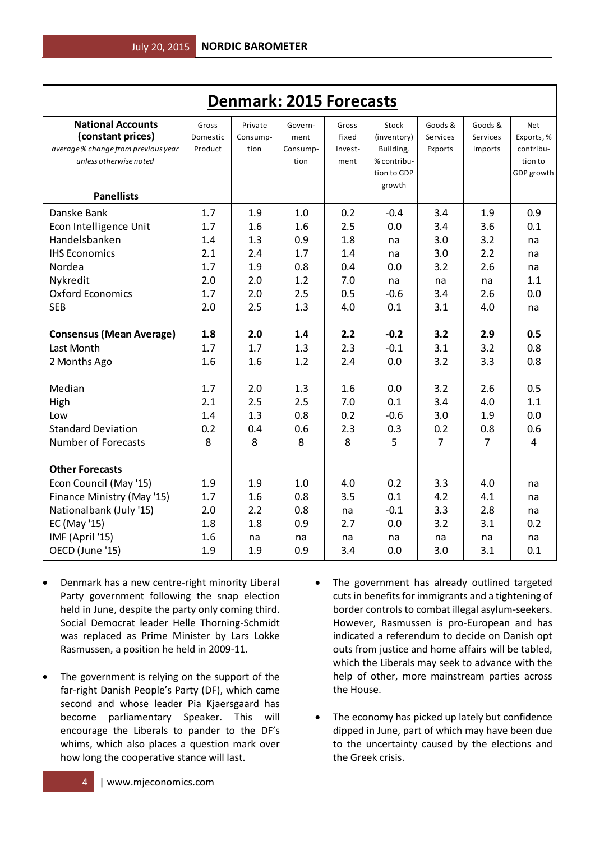| <b>Denmark: 2015 Forecasts</b>                                                                                                                                  |                                        |                                       |                                       |                                      |                                                                           |                                       |                                       |                                                                |  |  |
|-----------------------------------------------------------------------------------------------------------------------------------------------------------------|----------------------------------------|---------------------------------------|---------------------------------------|--------------------------------------|---------------------------------------------------------------------------|---------------------------------------|---------------------------------------|----------------------------------------------------------------|--|--|
| <b>National Accounts</b><br>(constant prices)<br>average % change from previous year<br>unless otherwise noted<br><b>Panellists</b>                             | Gross<br>Domestic<br>Product           | Private<br>Consump-<br>tion           | Govern-<br>ment<br>Consump-<br>tion   | Gross<br>Fixed<br>Invest-<br>ment    | Stock<br>(inventory)<br>Building,<br>% contribu-<br>tion to GDP<br>growth | Goods &<br>Services<br>Exports        | Goods &<br>Services<br>Imports        | <b>Net</b><br>Exports, %<br>contribu-<br>tion to<br>GDP growth |  |  |
| Danske Bank                                                                                                                                                     | 1.7                                    | 1.9                                   | 1.0                                   | 0.2                                  | $-0.4$                                                                    | 3.4                                   | 1.9                                   | 0.9                                                            |  |  |
| Econ Intelligence Unit                                                                                                                                          | 1.7                                    | 1.6                                   | 1.6                                   | 2.5                                  | 0.0                                                                       | 3.4                                   | 3.6                                   | 0.1                                                            |  |  |
| Handelsbanken                                                                                                                                                   | 1.4                                    | 1.3                                   | 0.9                                   | 1.8                                  | na                                                                        | 3.0                                   | 3.2                                   | na                                                             |  |  |
| <b>IHS Economics</b>                                                                                                                                            | 2.1                                    | 2.4                                   | 1.7                                   | 1.4                                  | na                                                                        | 3.0                                   | 2.2                                   | na                                                             |  |  |
| Nordea                                                                                                                                                          | 1.7                                    | 1.9                                   | 0.8                                   | 0.4                                  | 0.0                                                                       | 3.2                                   | 2.6                                   | na                                                             |  |  |
| Nykredit                                                                                                                                                        | 2.0                                    | 2.0                                   | 1.2                                   | 7.0                                  | na                                                                        | na                                    | na                                    | 1.1                                                            |  |  |
| <b>Oxford Economics</b>                                                                                                                                         | 1.7                                    | 2.0                                   | 2.5                                   | 0.5                                  | $-0.6$                                                                    | 3.4                                   | 2.6                                   | 0.0                                                            |  |  |
| <b>SEB</b>                                                                                                                                                      | 2.0                                    | 2.5                                   | 1.3                                   | 4.0                                  | 0.1                                                                       | 3.1                                   | 4.0                                   | na                                                             |  |  |
| <b>Consensus (Mean Average)</b>                                                                                                                                 | 1.8                                    | 2.0                                   | 1.4                                   | 2.2                                  | $-0.2$                                                                    | 3.2                                   | 2.9                                   | 0.5                                                            |  |  |
| Last Month                                                                                                                                                      | 1.7                                    | 1.7                                   | 1.3                                   | 2.3                                  | $-0.1$                                                                    | 3.1                                   | 3.2                                   | 0.8                                                            |  |  |
| 2 Months Ago                                                                                                                                                    | 1.6                                    | 1.6                                   | 1.2                                   | 2.4                                  | 0.0                                                                       | 3.2                                   | 3.3                                   | 0.8                                                            |  |  |
| Median                                                                                                                                                          | 1.7                                    | 2.0                                   | 1.3                                   | 1.6                                  | 0.0                                                                       | 3.2                                   | 2.6                                   | 0.5                                                            |  |  |
| High                                                                                                                                                            | 2.1                                    | 2.5                                   | 2.5                                   | 7.0                                  | 0.1                                                                       | 3.4                                   | 4.0                                   | 1.1                                                            |  |  |
| Low                                                                                                                                                             | 1.4                                    | 1.3                                   | 0.8                                   | 0.2                                  | $-0.6$                                                                    | 3.0                                   | 1.9                                   | 0.0                                                            |  |  |
| <b>Standard Deviation</b>                                                                                                                                       | 0.2                                    | 0.4                                   | 0.6                                   | 2.3                                  | 0.3                                                                       | 0.2                                   | 0.8                                   | 0.6                                                            |  |  |
| <b>Number of Forecasts</b>                                                                                                                                      | 8                                      | 8                                     | 8                                     | 8                                    | 5                                                                         | 7                                     | $\overline{7}$                        | $\overline{4}$                                                 |  |  |
| <b>Other Forecasts</b><br>Econ Council (May '15)<br>Finance Ministry (May '15)<br>Nationalbank (July '15)<br>EC (May '15)<br>IMF (April '15)<br>OECD (June '15) | 1.9<br>1.7<br>2.0<br>1.8<br>1.6<br>1.9 | 1.9<br>1.6<br>2.2<br>1.8<br>na<br>1.9 | 1.0<br>0.8<br>0.8<br>0.9<br>na<br>0.9 | 4.0<br>3.5<br>na<br>2.7<br>na<br>3.4 | 0.2<br>0.1<br>$-0.1$<br>0.0<br>na<br>0.0                                  | 3.3<br>4.2<br>3.3<br>3.2<br>na<br>3.0 | 4.0<br>4.1<br>2.8<br>3.1<br>na<br>3.1 | na<br>na<br>na<br>0.2<br>na<br>0.1                             |  |  |

- Denmark has a new centre-right minority Liberal Party government following the snap election held in June, despite the party only coming third. Social Democrat leader Helle Thorning-Schmidt was replaced as Prime Minister by Lars Lokke Rasmussen, a position he held in 2009-11.
- The government is relying on the support of the far-right Danish People's Party (DF), which came second and whose leader Pia Kjaersgaard has become parliamentary Speaker. This will encourage the Liberals to pander to the DF's whims, which also places a question mark over how long the cooperative stance will last.
- The government has already outlined targeted cuts in benefits for immigrants and a tightening of border controls to combat illegal asylum-seekers. However, Rasmussen is pro-European and has indicated a referendum to decide on Danish opt outs from justice and home affairs will be tabled, which the Liberals may seek to advance with the help of other, more mainstream parties across the House.
- The economy has picked up lately but confidence dipped in June, part of which may have been due to the uncertainty caused by the elections and the Greek crisis.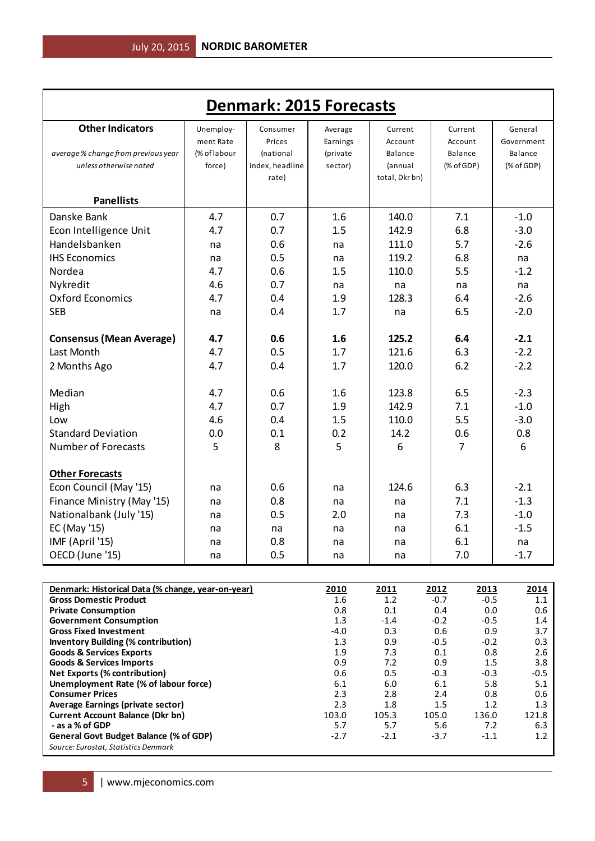| <b>Denmark: 2015 Forecasts</b>                                                                                                                |                                                   |                                                             |                                                   |                                                                |                                                     |                                                                      |  |  |  |  |  |
|-----------------------------------------------------------------------------------------------------------------------------------------------|---------------------------------------------------|-------------------------------------------------------------|---------------------------------------------------|----------------------------------------------------------------|-----------------------------------------------------|----------------------------------------------------------------------|--|--|--|--|--|
| <b>Other Indicators</b><br>average % change from previous year<br>unless otherwise noted                                                      | Unemploy-<br>ment Rate<br>(% of labour<br>force)  | Consumer<br>Prices<br>(national<br>index, headline<br>rate) | Average<br>Earnings<br>(private<br>sector)        | Current<br>Account<br>Balance<br>(annual<br>total, Dkr bn)     | Current<br>Account<br>Balance<br>(% of GDP)         | General<br>Government<br>Balance<br>(% of GDP)                       |  |  |  |  |  |
| <b>Panellists</b>                                                                                                                             |                                                   |                                                             |                                                   |                                                                |                                                     |                                                                      |  |  |  |  |  |
| Danske Bank<br>Econ Intelligence Unit<br>Handelsbanken<br><b>IHS Economics</b><br>Nordea<br>Nykredit<br><b>Oxford Economics</b><br><b>SEB</b> | 4.7<br>4.7<br>na<br>na<br>4.7<br>4.6<br>4.7<br>na | 0.7<br>0.7<br>0.6<br>0.5<br>0.6<br>0.7<br>0.4<br>0.4        | 1.6<br>1.5<br>na<br>na<br>1.5<br>na<br>1.9<br>1.7 | 140.0<br>142.9<br>111.0<br>119.2<br>110.0<br>na<br>128.3<br>na | 7.1<br>6.8<br>5.7<br>6.8<br>5.5<br>na<br>6.4<br>6.5 | $-1.0$<br>$-3.0$<br>$-2.6$<br>na<br>$-1.2$<br>na<br>$-2.6$<br>$-2.0$ |  |  |  |  |  |
| <b>Consensus (Mean Average)</b><br>Last Month<br>2 Months Ago                                                                                 | 4.7<br>4.7<br>4.7                                 | 0.6<br>0.5<br>0.4                                           | 1.6<br>1.7<br>1.7                                 | 125.2<br>121.6<br>120.0                                        | 6.4<br>6.3<br>6.2                                   | $-2.1$<br>$-2.2$<br>$-2.2$                                           |  |  |  |  |  |
| Median<br>High<br>Low<br><b>Standard Deviation</b><br><b>Number of Forecasts</b>                                                              | 4.7<br>4.7<br>4.6<br>0.0<br>5                     | 0.6<br>0.7<br>0.4<br>0.1<br>8                               | 1.6<br>1.9<br>1.5<br>0.2<br>5                     | 123.8<br>142.9<br>110.0<br>14.2<br>6                           | 6.5<br>7.1<br>5.5<br>0.6<br>$\overline{7}$          | $-2.3$<br>$-1.0$<br>$-3.0$<br>0.8<br>6                               |  |  |  |  |  |
| <b>Other Forecasts</b><br>Econ Council (May '15)<br>Finance Ministry (May '15)<br>Nationalbank (July '15)<br>EC (May '15)<br>IMF (April '15)  | na<br>na<br>na<br>na<br>na                        | 0.6<br>0.8<br>0.5<br>na<br>0.8                              | na<br>na<br>2.0<br>na<br>na                       | 124.6<br>na<br>na<br>na<br>na                                  | 6.3<br>7.1<br>7.3<br>6.1<br>6.1                     | $-2.1$<br>$-1.3$<br>$-1.0$<br>$-1.5$<br>na                           |  |  |  |  |  |
| OECD (June '15)                                                                                                                               | na                                                | 0.5                                                         | na                                                | na                                                             | 7.0                                                 | $-1.7$                                                               |  |  |  |  |  |

| Denmark: Historical Data (% change, year-on-year) | 2010   | 2011   | 2012   | 2013   | 2014   |
|---------------------------------------------------|--------|--------|--------|--------|--------|
| <b>Gross Domestic Product</b>                     | 1.6    | 1.2    | $-0.7$ | $-0.5$ | 1.1    |
| <b>Private Consumption</b>                        | 0.8    | 0.1    | 0.4    | 0.0    | 0.6    |
| <b>Government Consumption</b>                     | 1.3    | $-1.4$ | $-0.2$ | $-0.5$ | 1.4    |
| <b>Gross Fixed Investment</b>                     | $-4.0$ | 0.3    | 0.6    | 0.9    | 3.7    |
| <b>Inventory Building (% contribution)</b>        | 1.3    | 0.9    | $-0.5$ | $-0.2$ | 0.3    |
| <b>Goods &amp; Services Exports</b>               | 1.9    | 7.3    | 0.1    | 0.8    | 2.6    |
| <b>Goods &amp; Services Imports</b>               | 0.9    | 7.2    | 0.9    | 1.5    | 3.8    |
| <b>Net Exports (% contribution)</b>               | 0.6    | 0.5    | $-0.3$ | $-0.3$ | $-0.5$ |
| Unemployment Rate (% of labour force)             | 6.1    | 6.0    | 6.1    | 5.8    | 5.1    |
| <b>Consumer Prices</b>                            | 2.3    | 2.8    | 2.4    | 0.8    | 0.6    |
| Average Earnings (private sector)                 | 2.3    | 1.8    | 1.5    | 1.2    | 1.3    |
| <b>Current Account Balance (Dkr bn)</b>           | 103.0  | 105.3  | 105.0  | 136.0  | 121.8  |
| - as a % of GDP                                   | 5.7    | 5.7    | 5.6    | 7.2    | 6.3    |
| General Govt Budget Balance (% of GDP)            | $-2.7$ | $-2.1$ | $-3.7$ | $-1.1$ | 1.2    |
| Source: Eurostat, Statistics Denmark              |        |        |        |        |        |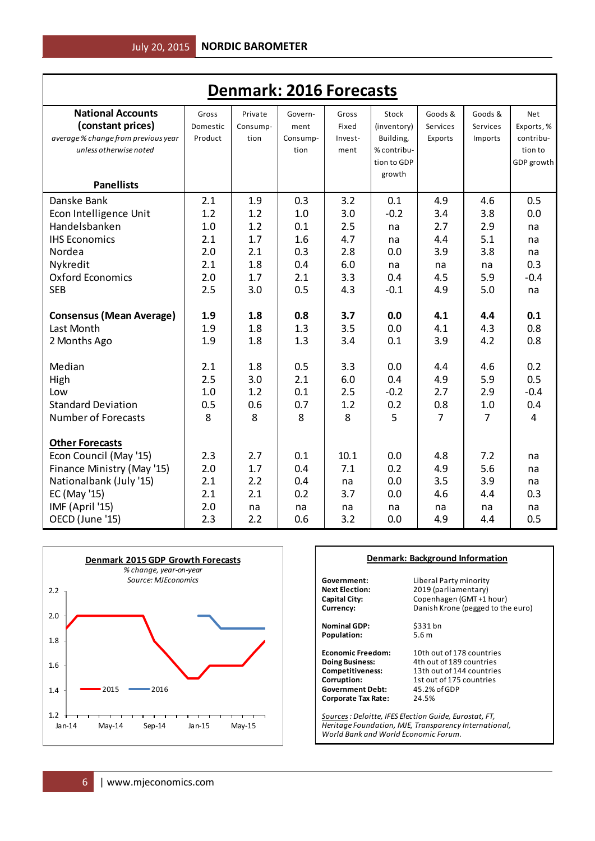| <b>Denmark: 2016 Forecasts</b>      |          |          |          |         |             |                |                |                |  |  |
|-------------------------------------|----------|----------|----------|---------|-------------|----------------|----------------|----------------|--|--|
| <b>National Accounts</b>            | Gross    | Private  | Govern-  | Gross   | Stock       | Goods &        | Goods &        | <b>Net</b>     |  |  |
| (constant prices)                   | Domestic | Consump- | ment     | Fixed   | (inventory) | Services       | Services       | Exports, %     |  |  |
| average % change from previous year | Product  | tion     | Consump- | Invest- | Building,   | Exports        | Imports        | contribu-      |  |  |
| unless otherwise noted              |          |          | tion     | ment    | % contribu- |                |                | tion to        |  |  |
|                                     |          |          |          |         | tion to GDP |                |                | GDP growth     |  |  |
|                                     |          |          |          |         | growth      |                |                |                |  |  |
| <b>Panellists</b>                   |          |          |          |         |             |                |                |                |  |  |
| Danske Bank                         | 2.1      | 1.9      | 0.3      | 3.2     | 0.1         | 4.9            | 4.6            | 0.5            |  |  |
| Econ Intelligence Unit              | 1.2      | 1.2      | 1.0      | 3.0     | $-0.2$      | 3.4            | 3.8            | 0.0            |  |  |
| Handelsbanken                       | 1.0      | 1.2      | 0.1      | 2.5     | na          | 2.7            | 2.9            | na             |  |  |
| <b>IHS Economics</b>                | 2.1      | 1.7      | 1.6      | 4.7     | na          | 4.4            | 5.1            | na             |  |  |
| Nordea                              | 2.0      | 2.1      | 0.3      | 2.8     | 0.0         | 3.9            | 3.8            | na             |  |  |
| Nykredit                            | 2.1      | 1.8      | 0.4      | 6.0     | na          | na             | na             | 0.3            |  |  |
| <b>Oxford Economics</b>             | 2.0      | 1.7      | 2.1      | 3.3     | 0.4         | 4.5            | 5.9            | $-0.4$         |  |  |
| <b>SEB</b>                          | 2.5      | 3.0      | 0.5      | 4.3     | $-0.1$      | 4.9            | 5.0            | na             |  |  |
|                                     |          |          |          |         |             |                |                |                |  |  |
| <b>Consensus (Mean Average)</b>     | 1.9      | 1.8      | 0.8      | 3.7     | 0.0         | 4.1            | 4.4            | 0.1            |  |  |
| Last Month                          | 1.9      | 1.8      | 1.3      | 3.5     | 0.0         | 4.1            | 4.3            | 0.8            |  |  |
| 2 Months Ago                        | 1.9      | 1.8      | 1.3      | 3.4     | 0.1         | 3.9            | 4.2            | 0.8            |  |  |
|                                     |          |          |          |         |             |                |                |                |  |  |
| Median                              | 2.1      | 1.8      | 0.5      | 3.3     | 0.0         | 4.4            | 4.6            | 0.2            |  |  |
| High                                | 2.5      | 3.0      | 2.1      | 6.0     | 0.4         | 4.9            | 5.9            | 0.5            |  |  |
| Low                                 | 1.0      | 1.2      | 0.1      | 2.5     | $-0.2$      | 2.7            | 2.9            | $-0.4$         |  |  |
| <b>Standard Deviation</b>           | 0.5      | 0.6      | 0.7      | 1.2     | 0.2         | 0.8            | 1.0            | 0.4            |  |  |
| <b>Number of Forecasts</b>          | 8        | 8        | 8        | 8       | 5           | $\overline{7}$ | $\overline{7}$ | $\overline{4}$ |  |  |
| <b>Other Forecasts</b>              |          |          |          |         |             |                |                |                |  |  |
| Econ Council (May '15)              | 2.3      | 2.7      | 0.1      | 10.1    | 0.0         | 4.8            | 7.2            | na             |  |  |
| Finance Ministry (May '15)          | 2.0      | 1.7      | 0.4      | 7.1     | 0.2         | 4.9            | 5.6            | na             |  |  |
| Nationalbank (July '15)             | 2.1      | 2.2      | 0.4      | na      | 0.0         | 3.5            | 3.9            | na             |  |  |
| EC (May '15)                        | 2.1      | 2.1      | 0.2      | 3.7     | 0.0         | 4.6            | 4.4            | 0.3            |  |  |
| IMF (April '15)                     | 2.0      | na       | na       | na      | na          | na             | na             | na             |  |  |
| OECD (June '15)                     | 2.3      | 2.2      | 0.6      | 3.2     | 0.0         | 4.9            | 4.4            | 0.5            |  |  |



### **Denmark: Background Information**

**Government:** Liberal Party minority<br>**Next Election:** 2019 (parliamentary) **Next Election:** 2019 (parliamentary) **Capital City:** Copenhagen (GMT +1 hour)

Population:

**Currency: Currency: Danish Krone (pegged to the euro) Nominal GDP:** \$331 bn<br>**Population:** 5.6 m

**Government Debt:** 45.2%<br>**Corporate Tax Rate:** 24.5% **Corporate Tax Rate:** 

**Economic Freedom:** 10th out of 178 countries<br> **Doing Business:** 4th out of 189 countries **Doing Business:** 4th out of 189 countries<br>**Competitiveness:** 13th out of 144 countries 13th out of 144 countries **Corruption:** 1st out of 175 countries<br> **Government Debt:** 45.2% of GDP

*Sources: Deloitte, IFES Election Guide, Eurostat, FT, Heritage Foundation, MJE, Transparency International, World Bank and World Economic Forum.*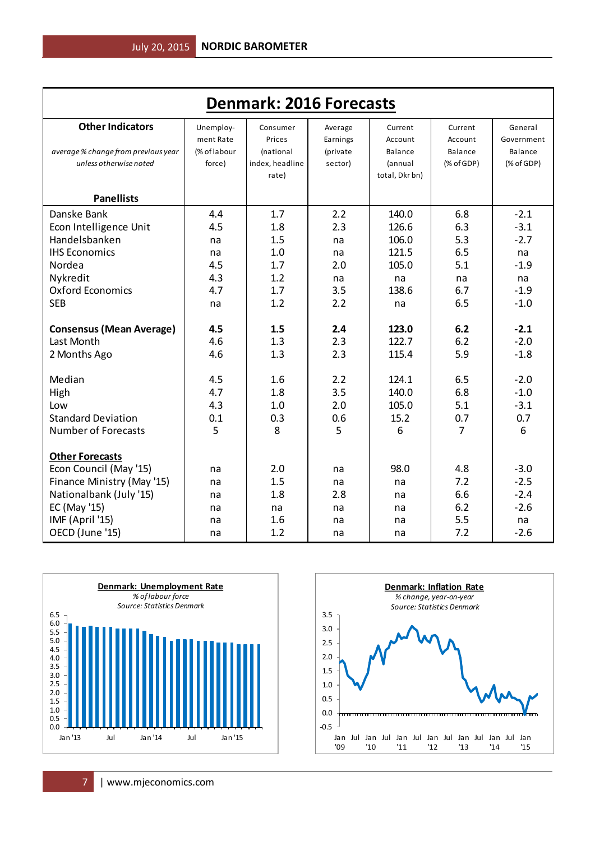| <b>Denmark: 2016 Forecasts</b>      |              |                 |          |                |                |            |  |  |  |  |  |
|-------------------------------------|--------------|-----------------|----------|----------------|----------------|------------|--|--|--|--|--|
| <b>Other Indicators</b>             | Unemploy-    | Consumer        | Average  | Current        | Current        | General    |  |  |  |  |  |
|                                     | ment Rate    | Prices          | Earnings | Account        | Account        | Government |  |  |  |  |  |
| average % change from previous year | (% of labour | (national       | (private | Balance        | Balance        | Balance    |  |  |  |  |  |
| unless otherwise noted              | force)       | index, headline | sector)  | (annual        | $(%$ of GDP)   | (% of GDP) |  |  |  |  |  |
|                                     |              | rate)           |          | total, Dkr bn) |                |            |  |  |  |  |  |
| <b>Panellists</b>                   |              |                 |          |                |                |            |  |  |  |  |  |
| Danske Bank                         | 4.4          | 1.7             | 2.2      | 140.0          | 6.8            | $-2.1$     |  |  |  |  |  |
| Econ Intelligence Unit              | 4.5          | 1.8             | 2.3      | 126.6          | 6.3            | $-3.1$     |  |  |  |  |  |
| Handelsbanken                       | na           | 1.5             | na       | 106.0          | 5.3            | $-2.7$     |  |  |  |  |  |
| <b>IHS Economics</b>                | na           | 1.0             | na       | 121.5          | 6.5            | na         |  |  |  |  |  |
| Nordea                              | 4.5          | 1.7             | 2.0      | 105.0          | 5.1            | $-1.9$     |  |  |  |  |  |
| Nykredit                            | 4.3          | 1.2             | na       | na             | na             | na         |  |  |  |  |  |
| <b>Oxford Economics</b>             | 4.7          | 1.7             | 3.5      | 138.6          | 6.7            | $-1.9$     |  |  |  |  |  |
| <b>SEB</b>                          | na           | 1.2             | 2.2      | na             | 6.5            | $-1.0$     |  |  |  |  |  |
|                                     |              |                 |          |                |                |            |  |  |  |  |  |
| <b>Consensus (Mean Average)</b>     | 4.5          | 1.5             | 2.4      | 123.0          | 6.2            | $-2.1$     |  |  |  |  |  |
| Last Month                          | 4.6          | 1.3             | 2.3      | 122.7          | 6.2            | $-2.0$     |  |  |  |  |  |
| 2 Months Ago                        | 4.6          | 1.3             | 2.3      | 115.4          | 5.9            | $-1.8$     |  |  |  |  |  |
|                                     |              |                 |          |                |                |            |  |  |  |  |  |
| Median                              | 4.5          | 1.6             | 2.2      | 124.1          | 6.5            | $-2.0$     |  |  |  |  |  |
| High                                | 4.7          | 1.8             | 3.5      | 140.0          | 6.8            | $-1.0$     |  |  |  |  |  |
| Low                                 | 4.3          | 1.0             | 2.0      | 105.0          | 5.1            | $-3.1$     |  |  |  |  |  |
| <b>Standard Deviation</b>           | 0.1          | 0.3             | 0.6      | 15.2           | 0.7            | 0.7        |  |  |  |  |  |
| <b>Number of Forecasts</b>          | 5            | 8               | 5        | 6              | $\overline{7}$ | 6          |  |  |  |  |  |
| <b>Other Forecasts</b>              |              |                 |          |                |                |            |  |  |  |  |  |
| Econ Council (May '15)              | na           | 2.0             | na       | 98.0           | 4.8            | $-3.0$     |  |  |  |  |  |
| Finance Ministry (May '15)          | na           | 1.5             | na       | na             | 7.2            | $-2.5$     |  |  |  |  |  |
| Nationalbank (July '15)             | na           | 1.8             | 2.8      | na             | 6.6            | $-2.4$     |  |  |  |  |  |
| EC (May '15)                        | na           | na              | na       | na             | 6.2            | $-2.6$     |  |  |  |  |  |
| IMF (April '15)                     | na           | 1.6             | na       | na             | 5.5            | na         |  |  |  |  |  |
| OECD (June '15)                     | na           | 1.2             | na       | na             | 7.2            | $-2.6$     |  |  |  |  |  |
|                                     |              |                 |          |                |                |            |  |  |  |  |  |



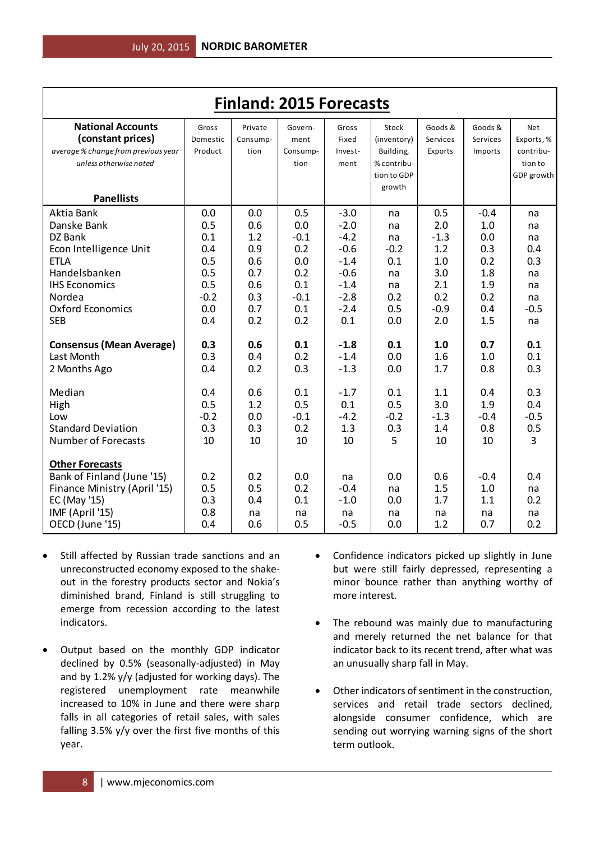| <b>Finland: 2015 Forecasts</b>      |          |          |          |         |             |          |          |            |  |  |
|-------------------------------------|----------|----------|----------|---------|-------------|----------|----------|------------|--|--|
| <b>National Accounts</b>            | Gross    | Private  | Govern-  | Gross   | Stock       | Goods &  | Goods &  | Net        |  |  |
| (constant prices)                   | Domestic | Consump- | ment     | Fixed   | (inventory) | Services | Services | Exports, % |  |  |
| average % change from previous year | Product  | tion     | Consump- | Invest- | Building,   | Exports  | Imports  | contribu-  |  |  |
| unless otherwise noted              |          |          | tion     | ment    | % contribu- |          |          | tion to    |  |  |
|                                     |          |          |          |         | tion to GDP |          |          | GDP growth |  |  |
|                                     |          |          |          |         | growth      |          |          |            |  |  |
| <b>Panellists</b>                   |          |          |          |         |             |          |          |            |  |  |
| Aktia Bank                          | 0.0      | 0.0      | 0.5      | $-3.0$  | na          | 0.5      | $-0.4$   | na         |  |  |
| Danske Bank                         | 0.5      | 0.6      | 0.0      | $-2.0$  | na          | 2.0      | 1.0      | na         |  |  |
| DZ Bank                             | 0.1      | 1.2      | $-0.1$   | $-4.2$  | na          | $-1.3$   | 0.0      | na         |  |  |
| Econ Intelligence Unit              | 0.4      | 0.9      | 0.2      | $-0.6$  | $-0.2$      | 1.2      | 0.3      | 0.4        |  |  |
| <b>ETLA</b>                         | 0.5      | 0.6      | 0.0      | $-1.4$  | 0.1         | 1.0      | 0.2      | 0.3        |  |  |
| Handelsbanken                       | 0.5      | 0.7      | 0.2      | $-0.6$  | na          | 3.0      | 1.8      | na         |  |  |
| <b>IHS Economics</b>                | 0.5      | 0.6      | 0.1      | $-1.4$  | na          | 2.1      | 1.9      | na         |  |  |
| Nordea                              | $-0.2$   | 0.3      | $-0.1$   | $-2.8$  | 0.2         | 0.2      | 0.2      | na         |  |  |
| <b>Oxford Economics</b>             | 0.0      | 0.7      | 0.1      | $-2.4$  | 0.5         | $-0.9$   | 0.4      | $-0.5$     |  |  |
| <b>SEB</b>                          | 0.4      | 0.2      | 0.2      | 0.1     | 0.0         | 2.0      | 1.5      | na         |  |  |
| <b>Consensus (Mean Average)</b>     | 0.3      | 0.6      | 0.1      | $-1.8$  | 0.1         | 1.0      | 0.7      | 0.1        |  |  |
| Last Month                          | 0.3      | 0.4      | 0.2      | $-1.4$  | 0.0         | 1.6      | 1.0      | 0.1        |  |  |
| 2 Months Ago                        | 0.4      | 0.2      | 0.3      | $-1.3$  | 0.0         | 1.7      | 0.8      | 0.3        |  |  |
| Median                              | 0.4      | 0.6      | 0.1      | $-1.7$  | 0.1         | 1.1      | 0.4      | 0.3        |  |  |
| High                                | 0.5      | 1.2      | 0.5      | 0.1     | 0.5         | 3.0      | 1.9      | 0.4        |  |  |
| Low                                 | $-0.2$   | 0.0      | $-0.1$   | $-4.2$  | $-0.2$      | $-1.3$   | $-0.4$   | $-0.5$     |  |  |
| <b>Standard Deviation</b>           | 0.3      | 0.3      | 0.2      | 1.3     | 0.3         | 1.4      | 0.8      | 0.5        |  |  |
| <b>Number of Forecasts</b>          | 10       | 10       | 10       | 10      | 5           | 10       | 10       | 3          |  |  |
|                                     |          |          |          |         |             |          |          |            |  |  |
| <b>Other Forecasts</b>              |          |          |          |         |             |          |          |            |  |  |
| Bank of Finland (June '15)          | 0.2      | 0.2      | 0.0      | na      | 0.0         | 0.6      | $-0.4$   | 0.4        |  |  |
| Finance Ministry (April '15)        | 0.5      | 0.5      | 0.2      | $-0.4$  | na          | 1.5      | 1.0      | na         |  |  |
| EC (May '15)                        | 0.3      | 0.4      | 0.1      | $-1.0$  | 0.0         | 1.7      | 1.1      | 0.2        |  |  |
| IMF (April '15)                     | 0.8      | na       | na       | na      | na          | na       | na       | na         |  |  |
| OECD (June '15)                     | 0.4      | 0.6      | 0.5      | $-0.5$  | 0.0         | 1.2      | 0.7      | 0.2        |  |  |

- Still affected by Russian trade sanctions and an unreconstructed economy exposed to the shakeout in the forestry products sector and Nokia's diminished brand, Finland is still struggling to emerge from recession according to the latest indicators.
- Output based on the monthly GDP indicator declined by 0.5% (seasonally-adjusted) in May and by 1.2% y/y (adjusted for working days). The registered unemployment rate meanwhile increased to 10% in June and there were sharp falls in all categories of retail sales, with sales falling 3.5% y/y over the first five months of this year.
- Confidence indicators picked up slightly in June but were still fairly depressed, representing a minor bounce rather than anything worthy of more interest.
- The rebound was mainly due to manufacturing and merely returned the net balance for that indicator back to its recent trend, after what was an unusually sharp fall in May.
- Other indicators of sentiment in the construction, services and retail trade sectors declined, alongside consumer confidence, which are sending out worrying warning signs of the short term outlook.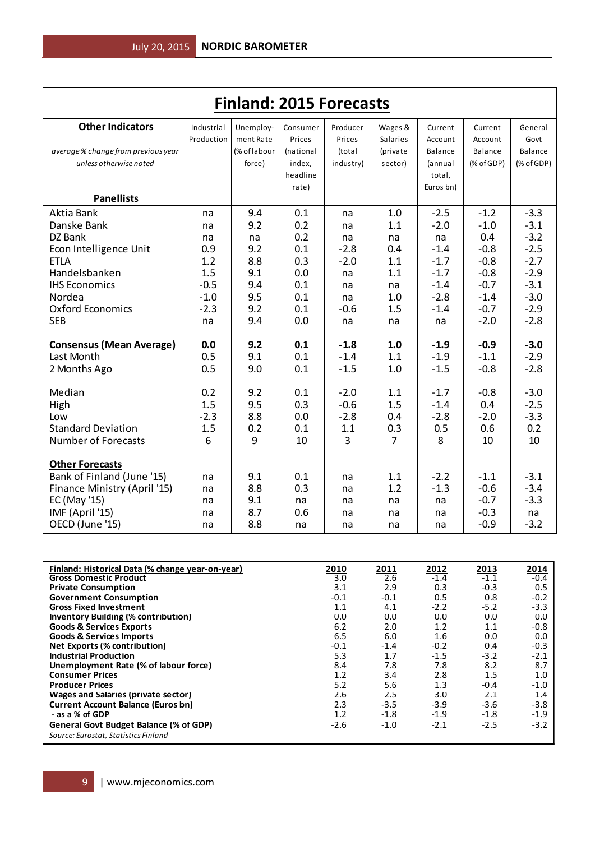| <b>Finland: 2015 Forecasts</b>      |            |              |           |                |                 |           |            |            |  |  |
|-------------------------------------|------------|--------------|-----------|----------------|-----------------|-----------|------------|------------|--|--|
| <b>Other Indicators</b>             | Industrial | Unemploy-    | Consumer  | Producer       | Wages &         | Current   | Current    | General    |  |  |
|                                     | Production | ment Rate    | Prices    | Prices         | <b>Salaries</b> | Account   | Account    | Govt       |  |  |
| average % change from previous year |            | (% of labour | (national | (total         | (private        | Balance   | Balance    | Balance    |  |  |
| unless otherwise noted              |            | force)       | index,    | industry)      | sector)         | (annual   | (% of GDP) | (% of GDP) |  |  |
|                                     |            |              | headline  |                |                 | total,    |            |            |  |  |
|                                     |            |              | rate)     |                |                 | Euros bn) |            |            |  |  |
| <b>Panellists</b>                   |            |              |           |                |                 |           |            |            |  |  |
| Aktia Bank                          | na         | 9.4          | 0.1       | na             | 1.0             | $-2.5$    | $-1.2$     | $-3.3$     |  |  |
| Danske Bank                         | na         | 9.2          | 0.2       | na             | 1.1             | $-2.0$    | $-1.0$     | $-3.1$     |  |  |
| DZ Bank                             | na         | na           | 0.2       | na             | na              | na        | 0.4        | $-3.2$     |  |  |
| Econ Intelligence Unit              | 0.9        | 9.2          | 0.1       | $-2.8$         | 0.4             | $-1.4$    | $-0.8$     | $-2.5$     |  |  |
| <b>ETLA</b>                         | 1.2        | 8.8          | 0.3       | $-2.0$         | 1.1             | $-1.7$    | $-0.8$     | $-2.7$     |  |  |
| Handelsbanken                       | 1.5        | 9.1          | 0.0       | na             | 1.1             | $-1.7$    | $-0.8$     | $-2.9$     |  |  |
| <b>IHS Economics</b>                | $-0.5$     | 9.4          | 0.1       | na             | na              | $-1.4$    | $-0.7$     | $-3.1$     |  |  |
| Nordea                              | $-1.0$     | 9.5          | 0.1       | na             | 1.0             | $-2.8$    | $-1.4$     | $-3.0$     |  |  |
| <b>Oxford Economics</b>             | $-2.3$     | 9.2          | 0.1       | $-0.6$         | 1.5             | $-1.4$    | $-0.7$     | $-2.9$     |  |  |
| <b>SEB</b>                          | na         | 9.4          | 0.0       | na             | na              | na        | $-2.0$     | $-2.8$     |  |  |
| <b>Consensus (Mean Average)</b>     | 0.0        | 9.2          | 0.1       | $-1.8$         | 1.0             | $-1.9$    | $-0.9$     | $-3.0$     |  |  |
| Last Month                          | 0.5        | 9.1          | 0.1       | $-1.4$         | 1.1             | $-1.9$    | $-1.1$     | $-2.9$     |  |  |
| 2 Months Ago                        | 0.5        | 9.0          | 0.1       | $-1.5$         | 1.0             | $-1.5$    | $-0.8$     | $-2.8$     |  |  |
| Median                              | 0.2        | 9.2          | 0.1       | $-2.0$         | 1.1             | $-1.7$    | $-0.8$     | $-3.0$     |  |  |
| High                                | 1.5        | 9.5          | 0.3       | $-0.6$         | 1.5             | $-1.4$    | 0.4        | $-2.5$     |  |  |
| Low                                 | $-2.3$     | 8.8          | 0.0       | $-2.8$         | 0.4             | $-2.8$    | $-2.0$     | $-3.3$     |  |  |
| <b>Standard Deviation</b>           | 1.5        | 0.2          | 0.1       | 1.1            | 0.3             | 0.5       | 0.6        | 0.2        |  |  |
| <b>Number of Forecasts</b>          | 6          | 9            | 10        | $\overline{3}$ | $\overline{7}$  | 8         | 10         | 10         |  |  |
| <b>Other Forecasts</b>              |            |              |           |                |                 |           |            |            |  |  |
| Bank of Finland (June '15)          | na         | 9.1          | 0.1       | na             | 1.1             | $-2.2$    | $-1.1$     | $-3.1$     |  |  |
| Finance Ministry (April '15)        | na         | 8.8          | 0.3       | na             | 1.2             | $-1.3$    | $-0.6$     | $-3.4$     |  |  |
| EC (May '15)                        | na         | 9.1          | na        | na             | na              | na        | $-0.7$     | $-3.3$     |  |  |
| IMF (April '15)                     | na         | 8.7          | 0.6       | na             | na              | na        | $-0.3$     | na         |  |  |
| OECD (June '15)                     | na         | 8.8          | na        | na             | na              | na        | $-0.9$     | $-3.2$     |  |  |

| Finland: Historical Data (% change year-on-year) | 2010   | 2011   | <u>2012</u> | 2013   | 2014   |
|--------------------------------------------------|--------|--------|-------------|--------|--------|
| <b>Gross Domestic Product</b>                    | 3.0    | 2.6    | $-1.4$      | $-1.1$ | $-0.4$ |
| <b>Private Consumption</b>                       | 3.1    | 2.9    | 0.3         | $-0.3$ | 0.5    |
| <b>Government Consumption</b>                    | $-0.1$ | $-0.1$ | 0.5         | 0.8    | $-0.2$ |
| <b>Gross Fixed Investment</b>                    | 1.1    | 4.1    | $-2.2$      | $-5.2$ | $-3.3$ |
| <b>Inventory Building (% contribution)</b>       | 0.0    | 0.0    | 0.0         | 0.0    | 0.0    |
| <b>Goods &amp; Services Exports</b>              | 6.2    | 2.0    | 1.2         | 1.1    | $-0.8$ |
| <b>Goods &amp; Services Imports</b>              | 6.5    | 6.0    | 1.6         | 0.0    | 0.0    |
| Net Exports (% contribution)                     | $-0.1$ | $-1.4$ | $-0.2$      | 0.4    | $-0.3$ |
| <b>Industrial Production</b>                     | 5.3    | 1.7    | $-1.5$      | $-3.2$ | $-2.1$ |
| Unemployment Rate (% of labour force)            | 8.4    | 7.8    | 7.8         | 8.2    | 8.7    |
| <b>Consumer Prices</b>                           | 1.2    | 3.4    | 2.8         | 1.5    | 1.0    |
| <b>Producer Prices</b>                           | 5.2    | 5.6    | 1.3         | $-0.4$ | $-1.0$ |
| Wages and Salaries (private sector)              | 2.6    | 2.5    | 3.0         | 2.1    | 1.4    |
| <b>Current Account Balance (Euros bn)</b>        | 2.3    | $-3.5$ | $-3.9$      | $-3.6$ | $-3.8$ |
| - as a % of GDP                                  | 1.2    | $-1.8$ | $-1.9$      | $-1.8$ | $-1.9$ |
| General Govt Budget Balance (% of GDP)           | $-2.6$ | $-1.0$ | $-2.1$      | $-2.5$ | $-3.2$ |
| Source: Eurostat, Statistics Finland             |        |        |             |        |        |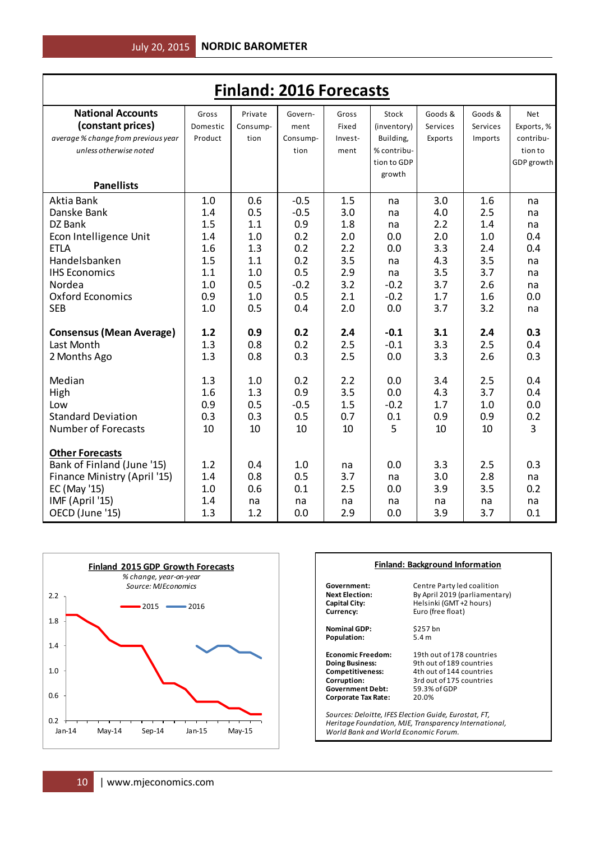| <b>Finland: 2016 Forecasts</b>      |          |          |          |         |             |          |          |                |  |  |
|-------------------------------------|----------|----------|----------|---------|-------------|----------|----------|----------------|--|--|
| <b>National Accounts</b>            | Gross    | Private  | Govern-  | Gross   | Stock       | Goods &  | Goods &  | <b>Net</b>     |  |  |
| (constant prices)                   | Domestic | Consump- | ment     | Fixed   | (inventory) | Services | Services | Exports, %     |  |  |
| average % change from previous year | Product  | tion     | Consump- | Invest- | Building,   | Exports  | Imports  | contribu-      |  |  |
| unless otherwise noted              |          |          | tion     | ment    | % contribu- |          |          | tion to        |  |  |
|                                     |          |          |          |         | tion to GDP |          |          | GDP growth     |  |  |
|                                     |          |          |          |         | growth      |          |          |                |  |  |
| <b>Panellists</b>                   |          |          |          |         |             |          |          |                |  |  |
| Aktia Bank                          | 1.0      | 0.6      | $-0.5$   | 1.5     | na          | 3.0      | 1.6      | na             |  |  |
| Danske Bank                         | 1.4      | 0.5      | $-0.5$   | 3.0     | na          | 4.0      | 2.5      | na             |  |  |
| DZ Bank                             | 1.5      | 1.1      | 0.9      | 1.8     | na          | 2.2      | 1.4      | na             |  |  |
| Econ Intelligence Unit              | 1.4      | 1.0      | 0.2      | 2.0     | 0.0         | 2.0      | 1.0      | 0.4            |  |  |
| <b>ETLA</b>                         | 1.6      | 1.3      | 0.2      | 2.2     | 0.0         | 3.3      | 2.4      | 0.4            |  |  |
| Handelsbanken                       | 1.5      | 1.1      | 0.2      | 3.5     | na          | 4.3      | 3.5      | na             |  |  |
| <b>IHS Economics</b>                | 1.1      | 1.0      | 0.5      | 2.9     | na          | 3.5      | 3.7      | na             |  |  |
| Nordea                              | 1.0      | 0.5      | $-0.2$   | 3.2     | $-0.2$      | 3.7      | 2.6      | na             |  |  |
| <b>Oxford Economics</b>             | 0.9      | 1.0      | 0.5      | 2.1     | $-0.2$      | 1.7      | 1.6      | 0.0            |  |  |
| <b>SEB</b>                          | 1.0      | 0.5      | 0.4      | 2.0     | 0.0         | 3.7      | 3.2      | na             |  |  |
| <b>Consensus (Mean Average)</b>     | 1.2      | 0.9      | 0.2      | 2.4     | $-0.1$      | 3.1      | 2.4      | 0.3            |  |  |
| Last Month                          | 1.3      | 0.8      | 0.2      | 2.5     | $-0.1$      | 3.3      | 2.5      | 0.4            |  |  |
| 2 Months Ago                        | 1.3      | 0.8      | 0.3      | 2.5     | 0.0         | 3.3      | 2.6      | 0.3            |  |  |
| Median                              | 1.3      | 1.0      | 0.2      | 2.2     | 0.0         | 3.4      | 2.5      | 0.4            |  |  |
| High                                | 1.6      | 1.3      | 0.9      | 3.5     | 0.0         | 4.3      | 3.7      | 0.4            |  |  |
| Low                                 | 0.9      | 0.5      | $-0.5$   | 1.5     | $-0.2$      | 1.7      | 1.0      | 0.0            |  |  |
| <b>Standard Deviation</b>           | 0.3      | 0.3      | 0.5      | 0.7     | 0.1         | 0.9      | 0.9      | 0.2            |  |  |
| <b>Number of Forecasts</b>          | 10       | 10       | 10       | 10      | 5           | 10       | 10       | $\overline{3}$ |  |  |
|                                     |          |          |          |         |             |          |          |                |  |  |
| <b>Other Forecasts</b>              |          |          |          |         |             |          |          |                |  |  |
| Bank of Finland (June '15)          | 1.2      | 0.4      | 1.0      | na      | 0.0         | 3.3      | 2.5      | 0.3            |  |  |
| Finance Ministry (April '15)        | 1.4      | 0.8      | 0.5      | 3.7     | na          | 3.0      | 2.8      | na             |  |  |
| EC (May '15)                        | 1.0      | 0.6      | 0.1      | 2.5     | 0.0         | 3.9      | 3.5      | 0.2            |  |  |
| IMF (April '15)                     | 1.4      | na       | na       | na      | na          | na       | na       | na             |  |  |
| OECD (June '15)                     | 1.3      | 1.2      | 0.0      | 2.9     | 0.0         | 3.9      | 3.7      | 0.1            |  |  |



| <b>Finland: Background Information</b> |                                                                                                                |  |  |  |  |  |  |
|----------------------------------------|----------------------------------------------------------------------------------------------------------------|--|--|--|--|--|--|
| Government:                            | Centre Party led coalition                                                                                     |  |  |  |  |  |  |
| <b>Next Election:</b>                  | By April 2019 (parliamentary)                                                                                  |  |  |  |  |  |  |
| <b>Capital City:</b>                   | Helsinki (GMT +2 hours)                                                                                        |  |  |  |  |  |  |
| Currency:                              | Euro (free float)                                                                                              |  |  |  |  |  |  |
| <b>Nominal GDP:</b>                    | \$257 bn                                                                                                       |  |  |  |  |  |  |
| Population:                            | 5.4 <sub>m</sub>                                                                                               |  |  |  |  |  |  |
| <b>Economic Freedom:</b>               | 19th out of 178 countries                                                                                      |  |  |  |  |  |  |
| <b>Doing Business:</b>                 | 9th out of 189 countries                                                                                       |  |  |  |  |  |  |
| Competitiveness:                       | 4th out of 144 countries                                                                                       |  |  |  |  |  |  |
| Corruption:                            | 3rd out of 175 countries                                                                                       |  |  |  |  |  |  |
| <b>Government Debt:</b>                | 59.3% of GDP                                                                                                   |  |  |  |  |  |  |
| Corporate Tax Rate:                    | 20.0%                                                                                                          |  |  |  |  |  |  |
| World Bank and World Economic Forum.   | Sources: Deloitte, IFES Election Guide, Eurostat, FT,<br>Heritage Foundation, MJE, Transparency International, |  |  |  |  |  |  |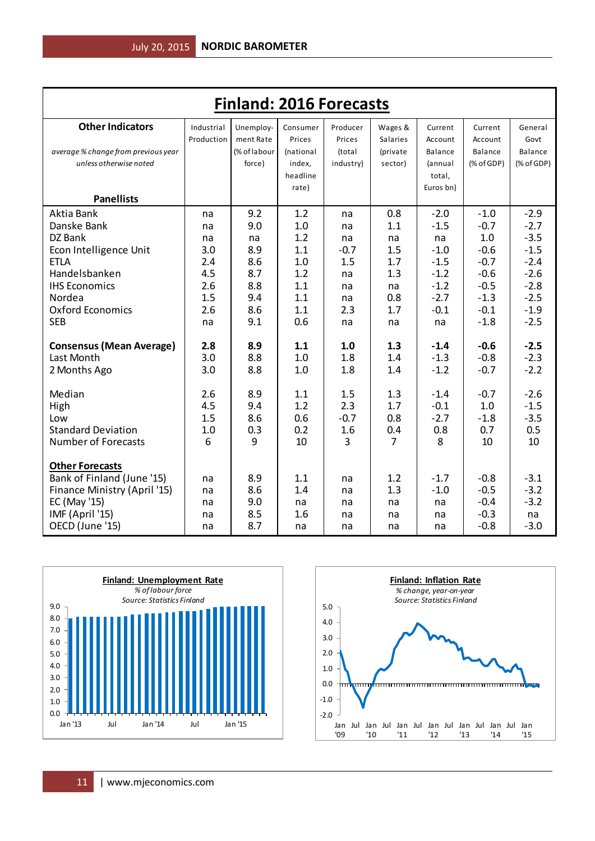| <b>Finland: 2016 Forecasts</b>      |            |              |           |           |                 |                |                  |                  |  |
|-------------------------------------|------------|--------------|-----------|-----------|-----------------|----------------|------------------|------------------|--|
| <b>Other Indicators</b>             | Industrial | Unemploy-    | Consumer  | Producer  | Wages &         | Current        | Current          | General          |  |
|                                     | Production | ment Rate    | Prices    | Prices    | <b>Salaries</b> | Account        | Account          | Govt             |  |
| average % change from previous year |            | (% of labour | (national | (total    | (private        | Balance        | Balance          | Balance          |  |
| unless otherwise noted              |            | force)       | index.    | industry) | sector)         | <i>(annual</i> | (% of GDP)       | $(%$ of GDP)     |  |
|                                     |            |              | headline  |           |                 | total,         |                  |                  |  |
|                                     |            |              | rate)     |           |                 | Euros bn)      |                  |                  |  |
| <b>Panellists</b>                   |            |              |           |           |                 |                |                  |                  |  |
| Aktia Bank                          | na         | 9.2          | 1.2       | na        | 0.8             | $-2.0$         | $-1.0$           | $-2.9$           |  |
| Danske Bank                         | na         | 9.0          | 1.0       | na        | 1.1             | $-1.5$         | $-0.7$           | $-2.7$           |  |
| DZ Bank                             | na         | na           | 1.2       | na        | na              | na             | 1.0              | $-3.5$           |  |
| Econ Intelligence Unit              | 3.0        | 8.9          | 1.1       | $-0.7$    | 1.5             | $-1.0$         | $-0.6$           | $-1.5$           |  |
| <b>ETLA</b>                         | 2.4        | 8.6          | 1.0       | 1.5       | 1.7             | $-1.5$         | $-0.7$           | $-2.4$           |  |
| Handelsbanken                       | 4.5        | 8.7          | 1.2       | na        | 1.3             | $-1.2$         | $-0.6$           | $-2.6$           |  |
| <b>IHS Economics</b>                | 2.6        | 8.8          | 1.1       | na        | na              | $-1.2$         | $-0.5$           | $-2.8$           |  |
| Nordea                              | 1.5        | 9.4          | 1.1       | na        | 0.8             | $-2.7$         | $-1.3$           | $-2.5$           |  |
| <b>Oxford Economics</b>             | 2.6        | 8.6          | 1.1       | 2.3       | 1.7             | $-0.1$         | $-0.1$           | $-1.9$           |  |
| <b>SEB</b>                          | na         | 9.1          | 0.6       | na        | na              | na             | $-1.8$           | $-2.5$           |  |
| <b>Consensus (Mean Average)</b>     | 2.8        | 8.9          | 1.1       | 1.0       | 1.3             | $-1.4$         | $-0.6$           | $-2.5$           |  |
| Last Month                          | 3.0        | 8.8          | 1.0       | 1.8       | 1.4             | $-1.3$         | $-0.8$           | $-2.3$           |  |
| 2 Months Ago                        | 3.0        | 8.8          | 1.0       | 1.8       | 1.4             | $-1.2$         | $-0.7$           | $-2.2$           |  |
| Median                              | 2.6        | 8.9          | 1.1       | 1.5       | 1.3             | $-1.4$         | $-0.7$           | $-2.6$           |  |
| High                                | 4.5        | 9.4          | 1.2       | 2.3       | 1.7             | $-0.1$         | 1.0              | $-1.5$           |  |
| Low                                 | 1.5        | 8.6          | 0.6       | $-0.7$    | 0.8             | $-2.7$         | $-1.8$           | $-3.5$           |  |
| <b>Standard Deviation</b>           | 1.0        | 0.3          | 0.2       | 1.6       | 0.4             | 0.8            | 0.7              | 0.5              |  |
| <b>Number of Forecasts</b>          | 6          | 9            | 10        | 3         | $\overline{7}$  | 8              | 10               | 10               |  |
|                                     |            |              |           |           |                 |                |                  |                  |  |
| <b>Other Forecasts</b>              |            |              |           |           |                 |                |                  |                  |  |
| Bank of Finland (June '15)          | na         | 8.9          | 1.1       | na        | 1.2             | $-1.7$         | $-0.8$           | $-3.1$           |  |
| Finance Ministry (April '15)        | na         | 8.6          | 1.4       | na        | 1.3             | $-1.0$         | $-0.5$           | $-3.2$<br>$-3.2$ |  |
| EC (May '15)                        | na         | 9.0          | na<br>1.6 | na        | na              | na             | $-0.4$<br>$-0.3$ |                  |  |
| IMF (April '15)<br>OECD (June '15)  | na         | 8.5<br>8.7   |           | na        | na              | na             | $-0.8$           | na<br>$-3.0$     |  |
|                                     | na         |              | na        | na        | na              | na             |                  |                  |  |



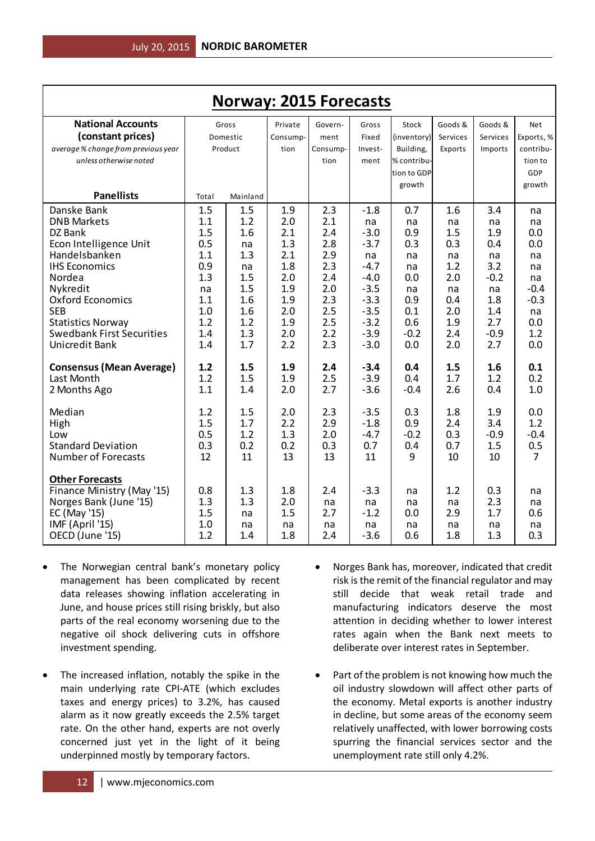| <b>Norway: 2015 Forecasts</b>                        |           |            |            |            |                  |             |            |            |                  |
|------------------------------------------------------|-----------|------------|------------|------------|------------------|-------------|------------|------------|------------------|
| <b>National Accounts</b>                             |           | Gross      | Private    | Govern-    | Gross            | Stock       | Goods &    | Goods &    | Net              |
| (constant prices)                                    |           | Domestic   | Consump-   | ment       | Fixed            | (inventory) | Services   | Services   | Exports, %       |
| average % change from previous year                  |           | Product    | tion       | Consump-   | Invest-          | Building,   | Exports    | Imports    | contribu-        |
| unless otherwise noted                               |           |            |            | tion       | ment             | % contribu- |            |            | tion to          |
|                                                      |           |            |            |            |                  | tion to GDP |            |            | <b>GDP</b>       |
|                                                      |           |            |            |            |                  | growth      |            |            | growth           |
| <b>Panellists</b>                                    | Total     | Mainland   |            |            |                  |             |            |            |                  |
| Danske Bank                                          | 1.5       | 1.5        | 1.9        | 2.3        | $-1.8$           | 0.7         | 1.6        | 3.4        | na               |
| <b>DNB Markets</b>                                   | 1.1       | 1.2        | 2.0        | 2.1        | na               | na          | na         | na         | na               |
| DZ Bank                                              | 1.5       | 1.6        | 2.1        | 2.4        | $-3.0$           | 0.9         | 1.5        | 1.9        | 0.0              |
| Econ Intelligence Unit                               | 0.5       | na         | 1.3        | 2.8        | $-3.7$           | 0.3         | 0.3        | 0.4        | 0.0              |
| Handelsbanken                                        | 1.1       | 1.3        | 2.1        | 2.9        | na               | na          | na         | na         | na               |
| <b>IHS Economics</b>                                 | 0.9       | na         | 1.8        | 2.3        | $-4.7$           | na          | 1.2        | 3.2        | na               |
| Nordea                                               | 1.3       | 1.5        | 2.0        | 2.4        | $-4.0$           | 0.0         | 2.0        | $-0.2$     | na               |
| Nykredit<br>Oxford Economics                         | na<br>1.1 | 1.5        | 1.9        | 2.0<br>2.3 | $-3.5$<br>$-3.3$ | na          | na         | na         | $-0.4$<br>$-0.3$ |
| <b>SEB</b>                                           | 1.0       | 1.6<br>1.6 | 1.9<br>2.0 | 2.5        | $-3.5$           | 0.9<br>0.1  | 0.4<br>2.0 | 1.8<br>1.4 |                  |
| <b>Statistics Norway</b>                             | 1.2       | 1.2        | 1.9        | 2.5        | $-3.2$           | 0.6         | 1.9        | 2.7        | na<br>0.0        |
| <b>Swedbank First Securities</b>                     | 1.4       | 1.3        | 2.0        | 2.2        | $-3.9$           | $-0.2$      | 2.4        | $-0.9$     | 1.2              |
| Unicredit Bank                                       | 1.4       | 1.7        | 2.2        | 2.3        | $-3.0$           | 0.0         | 2.0        | 2.7        | 0.0              |
|                                                      |           |            |            |            |                  |             |            |            |                  |
| <b>Consensus (Mean Average)</b>                      | 1.2       | 1.5        | 1.9        | 2.4        | $-3.4$           | 0.4         | 1.5        | 1.6        | 0.1              |
| Last Month                                           | 1.2       | 1.5        | 1.9        | 2.5        | $-3.9$           | 0.4         | 1.7        | 1.2        | 0.2              |
| 2 Months Ago                                         | 1.1       | 1.4        | 2.0        | 2.7        | $-3.6$           | $-0.4$      | 2.6        | 0.4        | 1.0              |
|                                                      |           |            |            |            |                  |             |            |            |                  |
| Median                                               | 1.2       | 1.5        | 2.0        | 2.3        | $-3.5$           | 0.3         | 1.8        | 1.9        | 0.0              |
| High                                                 | 1.5       | 1.7        | 2.2        | 2.9        | $-1.8$           | 0.9         | 2.4        | 3.4        | 1.2              |
| Low                                                  | 0.5       | 1.2        | 1.3        | 2.0        | $-4.7$           | $-0.2$      | 0.3        | $-0.9$     | $-0.4$           |
| <b>Standard Deviation</b>                            | 0.3       | 0.2        | 0.2        | 0.3        | 0.7              | 0.4         | 0.7        | 1.5        | 0.5              |
| Number of Forecasts                                  | 12        | 11         | 13         | 13         | 11               | 9           | 10         | 10         | 7                |
|                                                      |           |            |            |            |                  |             |            |            |                  |
| <b>Other Forecasts</b><br>Finance Ministry (May '15) | 0.8       | 1.3        | 1.8        | 2.4        | $-3.3$           | na          | 1.2        | 0.3        | na               |
| Norges Bank (June '15)                               | 1.3       | 1.3        | 2.0        | na         | na               | na          | na         | 2.3        | na               |
| EC (May '15)                                         | 1.5       | na         | 1.5        | 2.7        | $-1.2$           | 0.0         | 2.9        | 1.7        | 0.6              |
| IMF (April '15)                                      | 1.0       | na         | na         | na         | na               | na          | na         | na         | na               |
| OECD (June '15)                                      | 1.2       | 1.4        | 1.8        | 2.4        | $-3.6$           | 0.6         | 1.8        | 1.3        | 0.3              |
|                                                      |           |            |            |            |                  |             |            |            |                  |

- The Norwegian central bank's monetary policy management has been complicated by recent data releases showing inflation accelerating in June, and house prices still rising briskly, but also parts of the real economy worsening due to the negative oil shock delivering cuts in offshore investment spending.
- The increased inflation, notably the spike in the main underlying rate CPI-ATE (which excludes taxes and energy prices) to 3.2%, has caused alarm as it now greatly exceeds the 2.5% target rate. On the other hand, experts are not overly concerned just yet in the light of it being underpinned mostly by temporary factors.
- Norges Bank has, moreover, indicated that credit risk is the remit of the financial regulator and may still decide that weak retail trade and manufacturing indicators deserve the most attention in deciding whether to lower interest rates again when the Bank next meets to deliberate over interest rates in September.
- Part of the problem is not knowing how much the oil industry slowdown will affect other parts of the economy. Metal exports is another industry in decline, but some areas of the economy seem relatively unaffected, with lower borrowing costs spurring the financial services sector and the unemployment rate still only 4.2%.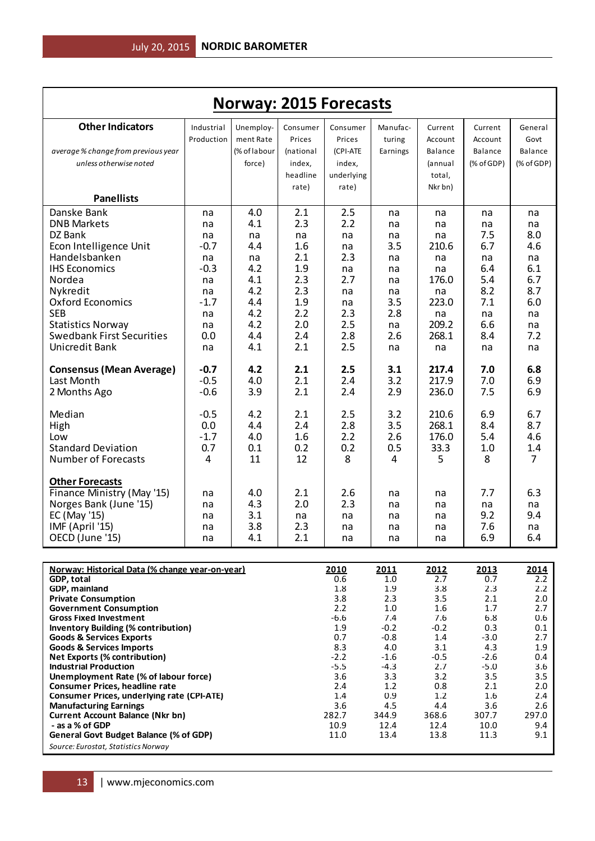|                                                                                    |               |              |            |                  |                  | <b>Norway: 2015 Forecasts</b> |                  |                 |  |  |  |  |  |  |  |
|------------------------------------------------------------------------------------|---------------|--------------|------------|------------------|------------------|-------------------------------|------------------|-----------------|--|--|--|--|--|--|--|
| <b>Other Indicators</b>                                                            | Industrial    | Unemploy-    | Consumer   | Consumer         | Manufac-         | Current                       | Current          | General         |  |  |  |  |  |  |  |
|                                                                                    | Production    | ment Rate    | Prices     | Prices           | turing           | Account                       | Account          | Govt            |  |  |  |  |  |  |  |
| average % change from previous year                                                |               | (% of labour | (national  | (CPI-ATE         | Earnings         | Balance                       | <b>Balance</b>   | Balance         |  |  |  |  |  |  |  |
| unless otherwise noted                                                             |               | force)       | index,     | index,           |                  | (annual                       | (% of GDP)       | $(%$ (% of GDP) |  |  |  |  |  |  |  |
|                                                                                    |               |              | headline   | underlying       |                  | total,                        |                  |                 |  |  |  |  |  |  |  |
| <b>Panellists</b>                                                                  |               |              | rate)      | rate)            |                  | Nkr bn)                       |                  |                 |  |  |  |  |  |  |  |
| Danske Bank                                                                        | na            | 4.0          | 2.1        | 2.5              | na               | na                            | na               | na              |  |  |  |  |  |  |  |
| <b>DNB Markets</b>                                                                 | na            | 4.1          | 2.3        | 2.2              | na               | na                            | na               | na              |  |  |  |  |  |  |  |
| DZ Bank                                                                            | na            | na           | na         | na               | na               | na                            | 7.5              | 8.0             |  |  |  |  |  |  |  |
| Econ Intelligence Unit                                                             | $-0.7$        | 4.4          | 1.6        | na               | 3.5              | 210.6                         | 6.7              | 4.6             |  |  |  |  |  |  |  |
| Handelsbanken                                                                      | na            | na           | 2.1        | 2.3              | na               | na                            | na               | na              |  |  |  |  |  |  |  |
| <b>IHS Economics</b>                                                               | $-0.3$        | 4.2          | 1.9        | na               | na               | na                            | 6.4              | 6.1             |  |  |  |  |  |  |  |
| Nordea                                                                             | na            | 4.1          | 2.3        | 2.7              | na               | 176.0                         | 5.4              | 6.7             |  |  |  |  |  |  |  |
| Nykredit<br><b>Oxford Economics</b>                                                | na<br>$-1.7$  | 4.2<br>4.4   | 2.3        | na               | na               | na                            | 8.2<br>7.1       | 8.7<br>6.0      |  |  |  |  |  |  |  |
| <b>SEB</b>                                                                         | na            | 4.2          | 1.9<br>2.2 | na<br>2.3        | 3.5<br>2.8       | 223.0<br>na                   | na               | na              |  |  |  |  |  |  |  |
| <b>Statistics Norway</b>                                                           | na            | 4.2          | 2.0        | 2.5              | na               | 209.2                         | 6.6              | na              |  |  |  |  |  |  |  |
| <b>Swedbank First Securities</b>                                                   | 0.0           | 4.4          | 2.4        | 2.8              | 2.6              | 268.1                         | 8.4              | 7.2             |  |  |  |  |  |  |  |
| Unicredit Bank                                                                     | na            | 4.1          | 2.1        | 2.5              | na               | na                            | na               | na              |  |  |  |  |  |  |  |
| <b>Consensus (Mean Average)</b>                                                    | $-0.7$        | 4.2          | 2.1        | 2.5              | 3.1              | 217.4                         | 7.0              | 6.8             |  |  |  |  |  |  |  |
| Last Month                                                                         | $-0.5$        | 4.0          | 2.1        | 2.4              | 3.2              | 217.9                         | 7.0              | 6.9<br>6.9      |  |  |  |  |  |  |  |
| 2 Months Ago                                                                       | $-0.6$        | 3.9          | 2.1        | 2.4              | 2.9              | 236.0                         | 7.5              |                 |  |  |  |  |  |  |  |
| Median                                                                             | $-0.5$        | 4.2          | 2.1        | 2.5              | 3.2              | 210.6                         | 6.9              | 6.7             |  |  |  |  |  |  |  |
| High                                                                               | 0.0           | 4.4<br>4.0   | 2.4<br>1.6 | 2.8<br>2.2       | 3.5              | 268.1<br>176.0                | 8.4<br>5.4       | 8.7<br>4.6      |  |  |  |  |  |  |  |
| Low<br><b>Standard Deviation</b>                                                   | $-1.7$<br>0.7 | 0.1          | 0.2        | 0.2              | 2.6<br>0.5       | 33.3                          | 1.0              | 1.4             |  |  |  |  |  |  |  |
| <b>Number of Forecasts</b>                                                         | 4             | 11           | 12         | 8                | 4                | 5                             | 8                | $\overline{7}$  |  |  |  |  |  |  |  |
| <b>Other Forecasts</b>                                                             |               |              |            |                  |                  |                               |                  |                 |  |  |  |  |  |  |  |
| Finance Ministry (May '15)                                                         | na            | 4.0          | 2.1        | 2.6              | na               | na                            | 7.7              | 6.3             |  |  |  |  |  |  |  |
| Norges Bank (June '15)                                                             | na            | 4.3          | 2.0        | 2.3              | na               | na                            | na               | na              |  |  |  |  |  |  |  |
| EC (May '15)                                                                       | na            | 3.1          | na         | na               | na               | na                            | 9.2              | 9.4             |  |  |  |  |  |  |  |
| IMF (April '15)                                                                    | na            | 3.8          | 2.3        | na               | na               | na                            | 7.6              | na              |  |  |  |  |  |  |  |
| OECD (June '15)                                                                    | na            | 4.1          | 2.1        | na               | na               | na                            | 6.9              | 6.4             |  |  |  |  |  |  |  |
|                                                                                    |               |              |            |                  |                  |                               |                  |                 |  |  |  |  |  |  |  |
| Norway: Historical Data (% change year-on-year)<br>GDP, total                      |               |              |            | 2010<br>0.6      | 2011<br>1.0      | 2012<br>2.7                   | 2013<br>0.7      | 2014<br>2.2     |  |  |  |  |  |  |  |
| GDP, mainland                                                                      |               |              |            | 1.8              | 1.9              | 3.8                           | 2.3              | 2.2             |  |  |  |  |  |  |  |
| <b>Private Consumption</b>                                                         |               |              |            | 3.8              | 2.3              | 3.5                           | 2.1              | 2.0             |  |  |  |  |  |  |  |
| <b>Government Consumption</b><br><b>Gross Fixed Investment</b>                     |               |              |            | 2.2<br>$-6.6$    | 1.0<br>7.4       | 1.6<br>7.6                    | 1.7<br>6.8       | 2.7<br>0.6      |  |  |  |  |  |  |  |
| <b>Inventory Building (% contribution)</b>                                         |               |              |            | 1.9              | $-0.2$           | $-0.2$                        | 0.3              | 0.1             |  |  |  |  |  |  |  |
| <b>Goods &amp; Services Exports</b>                                                |               |              |            | 0.7              | $-0.8$           | 1.4                           | $-3.0$           | 2.7             |  |  |  |  |  |  |  |
| <b>Goods &amp; Services Imports</b>                                                |               |              |            | 8.3              | 4.0              | 3.1                           | 4.3              | 1.9             |  |  |  |  |  |  |  |
| <b>Net Exports (% contribution)</b><br><b>Industrial Production</b>                |               |              |            | $-2.2$<br>$-5.5$ | $-1.6$<br>$-4.3$ | $-0.5$<br>2.7                 | $-2.6$<br>$-5.0$ | 0.4<br>3.6      |  |  |  |  |  |  |  |
| Unemployment Rate (% of labour force)                                              |               |              |            | 3.6              | 3.3              | 3.2                           | 3.5              | 3.5             |  |  |  |  |  |  |  |
| <b>Consumer Prices, headline rate</b>                                              |               |              |            | 2.4              | 1.2              | 0.8                           | 2.1              | 2.0             |  |  |  |  |  |  |  |
| <b>Consumer Prices, underlying rate (CPI-ATE)</b><br><b>Manufacturing Earnings</b> |               |              |            | 1.4<br>3.6       | 0.9<br>4.5       | 1.2<br>4.4                    | 1.6<br>3.6       | 2.4<br>2.6      |  |  |  |  |  |  |  |
| <b>Current Account Balance (Nkr bn)</b>                                            |               |              |            | 282.7            | 344.9            | 368.6                         | 307.7            | 297.0           |  |  |  |  |  |  |  |
| - as a % of GDP                                                                    |               |              |            | 10.9             | 12.4             | 12.4                          | 10.0             | 9.4             |  |  |  |  |  |  |  |
| General Govt Budget Balance (% of GDP)                                             |               |              |            | 11.0             | 13.4             | 13.8                          | 11.3             | 9.1             |  |  |  |  |  |  |  |

*Source: Eurostat, Statistics Norway*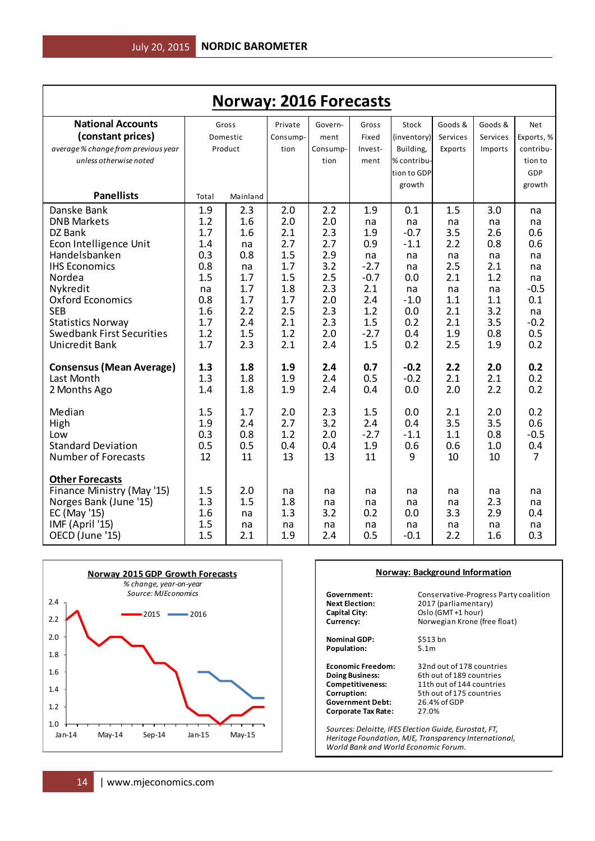| <b>Norway: 2016 Forecasts</b>                                                                                                                                                                                                                                    |                                                                                        |                                                                                       |                                                                                         |                                                                                         |                                                                                                |                                                                                              |                                                                                      |                                                                                      |                                                                                         |
|------------------------------------------------------------------------------------------------------------------------------------------------------------------------------------------------------------------------------------------------------------------|----------------------------------------------------------------------------------------|---------------------------------------------------------------------------------------|-----------------------------------------------------------------------------------------|-----------------------------------------------------------------------------------------|------------------------------------------------------------------------------------------------|----------------------------------------------------------------------------------------------|--------------------------------------------------------------------------------------|--------------------------------------------------------------------------------------|-----------------------------------------------------------------------------------------|
| <b>National Accounts</b><br>(constant prices)<br>average % change from previous year<br>unless otherwise noted                                                                                                                                                   |                                                                                        | Gross<br>Domestic<br>Product                                                          | Private<br>Consump-<br>tion                                                             | Govern-<br>ment<br>Consump-<br>tion                                                     | Gross<br>Fixed<br>Invest-<br>ment                                                              | Stock<br>(inventory)<br>Building,<br>% contribu-<br>tion to GDP                              | Goods &<br>Services<br>Exports                                                       | Goods &<br>Services<br>Imports                                                       | Net<br>Exports, %<br>contribu-<br>tion to<br>GDP                                        |
| <b>Panellists</b>                                                                                                                                                                                                                                                | Total                                                                                  | Mainland                                                                              |                                                                                         |                                                                                         |                                                                                                | growth                                                                                       |                                                                                      |                                                                                      | growth                                                                                  |
| Danske Bank<br><b>DNB Markets</b><br>DZ Bank<br>Econ Intelligence Unit<br>Handelsbanken<br><b>IHS Economics</b><br>Nordea<br>Nykredit<br><b>Oxford Economics</b><br><b>SEB</b><br><b>Statistics Norway</b><br><b>Swedbank First Securities</b><br>Unicredit Bank | 1.9<br>1.2<br>1.7<br>1.4<br>0.3<br>0.8<br>1.5<br>na<br>0.8<br>1.6<br>1.7<br>1.2<br>1.7 | 2.3<br>1.6<br>1.6<br>na<br>0.8<br>na<br>1.7<br>1.7<br>1.7<br>2.2<br>2.4<br>1.5<br>2.3 | 2.0<br>2.0<br>2.1<br>2.7<br>1.5<br>1.7<br>1.5<br>1.8<br>1.7<br>2.5<br>2.1<br>1.2<br>2.1 | 2.2<br>2.0<br>2.3<br>2.7<br>2.9<br>3.2<br>2.5<br>2.3<br>2.0<br>2.3<br>2.3<br>2.0<br>2.4 | 1.9<br>na<br>1.9<br>0.9<br>na<br>$-2.7$<br>$-0.7$<br>2.1<br>2.4<br>1.2<br>1.5<br>$-2.7$<br>1.5 | 0.1<br>na<br>$-0.7$<br>$-1.1$<br>na<br>na<br>0.0<br>na<br>$-1.0$<br>0.0<br>0.2<br>0.4<br>0.2 | 1.5<br>na<br>3.5<br>2.2<br>na<br>2.5<br>2.1<br>na<br>1.1<br>2.1<br>2.1<br>1.9<br>2.5 | 3.0<br>na<br>2.6<br>0.8<br>na<br>2.1<br>1.2<br>na<br>1.1<br>3.2<br>3.5<br>0.8<br>1.9 | na<br>na<br>0.6<br>0.6<br>na<br>na<br>na<br>$-0.5$<br>0.1<br>na<br>$-0.2$<br>0.5<br>0.2 |
| <b>Consensus (Mean Average)</b><br>Last Month<br>2 Months Ago                                                                                                                                                                                                    | 1.3<br>1.3<br>1.4                                                                      | 1.8<br>1.8<br>1.8                                                                     | 1.9<br>1.9<br>1.9                                                                       | 2.4<br>2.4<br>2.4                                                                       | 0.7<br>0.5<br>0.4                                                                              | $-0.2$<br>$-0.2$<br>0.0                                                                      | 2.2<br>2.1<br>2.0                                                                    | 2.0<br>2.1<br>2.2                                                                    | 0.2<br>0.2<br>0.2                                                                       |
| Median<br>High<br>Low<br><b>Standard Deviation</b><br><b>Number of Forecasts</b>                                                                                                                                                                                 | 1.5<br>1.9<br>0.3<br>0.5<br>12                                                         | 1.7<br>2.4<br>0.8<br>0.5<br>11                                                        | 2.0<br>2.7<br>1.2<br>0.4<br>13                                                          | 2.3<br>3.2<br>2.0<br>0.4<br>13                                                          | 1.5<br>2.4<br>$-2.7$<br>1.9<br>11                                                              | 0.0<br>0.4<br>$-1.1$<br>0.6<br>9                                                             | 2.1<br>3.5<br>1.1<br>0.6<br>10                                                       | 2.0<br>3.5<br>0.8<br>1.0<br>10                                                       | 0.2<br>0.6<br>$-0.5$<br>0.4<br>$\overline{7}$                                           |
| <b>Other Forecasts</b><br>Finance Ministry (May '15)<br>Norges Bank (June '15)<br>EC (May '15)<br>IMF (April '15)<br>OECD (June '15)                                                                                                                             | 1.5<br>1.3<br>1.6<br>1.5<br>1.5                                                        | 2.0<br>1.5<br>na<br>na<br>2.1                                                         | na<br>1.8<br>1.3<br>na<br>1.9                                                           | na<br>na<br>3.2<br>na<br>2.4                                                            | na<br>na<br>0.2<br>na<br>0.5                                                                   | na<br>na<br>0.0<br>na<br>$-0.1$                                                              | na<br>na<br>3.3<br>na<br>2.2                                                         | na<br>2.3<br>2.9<br>na<br>1.6                                                        | na<br>na<br>0.4<br>na<br>0.3                                                            |



#### **Norway: Background Information**

**Government:** Conservative-Progress Party coalition<br>**Next Election:** 2017 (parliamentary) **Next Election:** 2017 (parliamentary)<br> **Capital City:** 2017 (parliamentary) **Capital City:** Oslo (GMT +1 hour)<br> **Currency:** Norwegian Krone (f

**Nominal GDP:** \$513 bn<br>**Population:** 5.1m Population:

**Government Debt:** 26.4%<br>**Corporate Tax Rate:** 27.0% **Corporate Tax Rate:** 

**Currency:** Norwegian Krone (free float)

**Economic Freedom:** 32nd out of 178 countries<br> **Doing Business:** 6th out of 189 countries **Doing Business:** 6th out of 189 countries<br> **Competitiveness:** 11th out of 144 countries **Competitiveness:** 11th out of 144 countries<br> **Corruption:** 5th out of 175 countries 5th out of 175 countries<br>26.4% of GDP

*Sources: Deloitte, IFES Election Guide, Eurostat, FT, Heritage Foundation, MJE, Transparency International, World Bank and World Economic Forum.*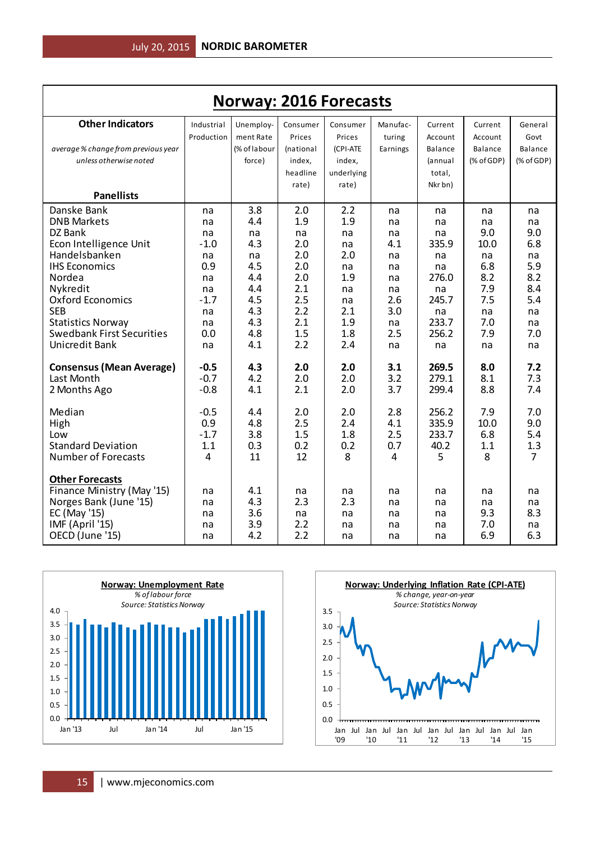| <b>Norway: 2016 Forecasts</b>                                |               |              |            |            |            |                |            |                       |  |
|--------------------------------------------------------------|---------------|--------------|------------|------------|------------|----------------|------------|-----------------------|--|
| <b>Other Indicators</b>                                      | Industrial    | Unemploy-    | Consumer   | Consumer   | Manufac-   | Current        | Current    | General               |  |
|                                                              | Production    | ment Rate    | Prices     | Prices     | turing     | Account        | Account    | Govt                  |  |
| average % change from previous year                          |               | (% of labour | (national  | (CPI-ATE   | Earnings   | Balance        | Balance    | Balance               |  |
| unless otherwise noted                                       |               | force)       | index,     | index,     |            | (annual        | (% of GDP) | (% of GDP)            |  |
|                                                              |               |              | headline   | underlying |            | total,         |            |                       |  |
|                                                              |               |              | rate)      | rate)      |            | Nkr bn)        |            |                       |  |
| <b>Panellists</b>                                            |               |              |            |            |            |                |            |                       |  |
| Danske Bank                                                  | na            | 3.8          | 2.0        | 2.2        | na         | na             | na         | na                    |  |
| <b>DNB Markets</b>                                           | na            | 4.4          | 1.9        | 1.9        | na         | na             | na         | na                    |  |
| DZ Bank                                                      | na            | na           | na         | na         | na         | na             | 9.0        | 9.0                   |  |
| Econ Intelligence Unit                                       | $-1.0$        | 4.3          | 2.0        | na         | 4.1        | 335.9          | 10.0       | 6.8                   |  |
| Handelsbanken                                                | na            | na           | 2.0        | 2.0        | na         | na             | na         | na                    |  |
| <b>IHS Economics</b>                                         | 0.9           | 4.5          | 2.0        | na         | na         | na             | 6.8        | 5.9                   |  |
| Nordea                                                       | na            | 4.4          | 2.0        | 1.9        | na         | 276.0          | 8.2        | 8.2                   |  |
| Nykredit                                                     | na            | 4.4          | 2.1<br>2.5 | na         | na         | na<br>245.7    | 7.9        | 8.4                   |  |
| <b>Oxford Economics</b><br><b>SEB</b>                        | $-1.7$        | 4.5<br>4.3   | 2.2        | na<br>2.1  | 2.6<br>3.0 |                | 7.5        | 5.4                   |  |
|                                                              | na            | 4.3          | 2.1        | 1.9        |            | na<br>233.7    | na<br>7.0  | na                    |  |
| <b>Statistics Norway</b><br><b>Swedbank First Securities</b> | na<br>0.0     | 4.8          | 1.5        | 1.8        | na<br>2.5  | 256.2          | 7.9        | na<br>7.0             |  |
| Unicredit Bank                                               | na            | 4.1          | 2.2        | 2.4        | na         | na             | na         | na                    |  |
|                                                              |               |              |            |            |            |                |            |                       |  |
| <b>Consensus (Mean Average)</b>                              | $-0.5$        | 4.3          | 2.0        | 2.0        | 3.1        | 269.5          | 8.0        | 7.2                   |  |
| Last Month                                                   | $-0.7$        | 4.2          | 2.0        | 2.0        | 3.2        | 279.1          | 8.1        | 7.3                   |  |
| 2 Months Ago                                                 | $-0.8$        | 4.1          | 2.1        | 2.0        | 3.7        | 299.4          | 8.8        | 7.4                   |  |
|                                                              |               |              |            |            |            |                |            |                       |  |
| Median                                                       | $-0.5$        | 4.4          | 2.0        | 2.0        | 2.8        | 256.2          | 7.9        | 7.0<br>9.0            |  |
| High                                                         | 0.9<br>$-1.7$ | 4.8          | 2.5        | 2.4        | 4.1        | 335.9<br>233.7 | 10.0       |                       |  |
| Low<br><b>Standard Deviation</b>                             |               | 3.8          | 1.5        | 1.8        | 2.5        |                | 6.8        | 5.4                   |  |
| <b>Number of Forecasts</b>                                   | 1.1<br>4      | 0.3<br>11    | 0.2<br>12  | 0.2<br>8   | 0.7<br>4   | 40.2           | 1.1<br>8   | 1.3<br>$\overline{7}$ |  |
|                                                              |               |              |            |            |            | 5              |            |                       |  |
| <b>Other Forecasts</b>                                       |               |              |            |            |            |                |            |                       |  |
| Finance Ministry (May '15)                                   | na            | 4.1          | na         | na         | na         | na             | na         | na                    |  |
| Norges Bank (June '15)                                       | na            | 4.3          | 2.3        | 2.3        | na         | na             | na         | na                    |  |
| EC (May '15)                                                 | na            | 3.6          | na         | na         | na         | na             | 9.3        | 8.3                   |  |
| IMF (April '15)                                              | na            | 3.9          | 2.2        | na         | na         | na             | 7.0        | na                    |  |
| OECD (June '15)                                              | na            | 4.2          | 2.2        | na         | na         | na             | 6.9        | 6.3                   |  |



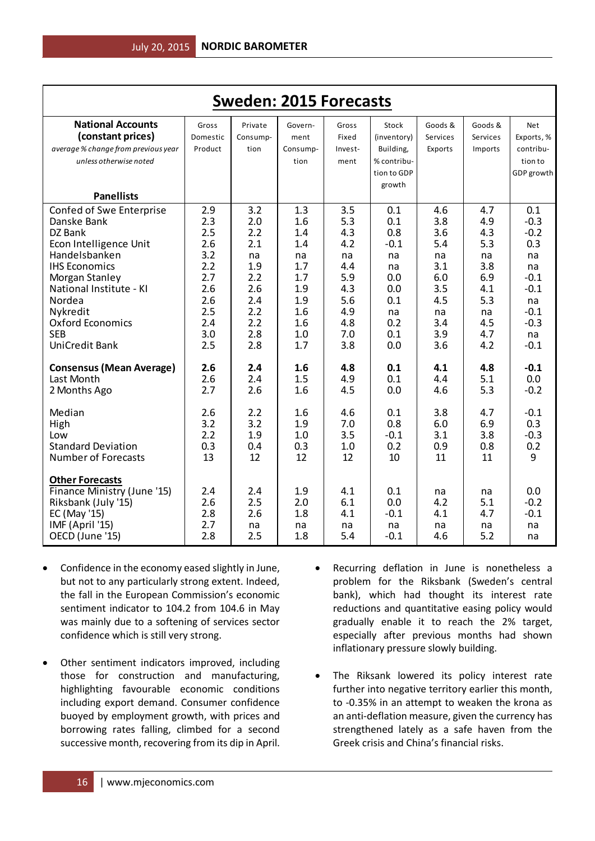| <b>Sweden: 2015 Forecasts</b>                                                                                                                                                                                                                |                                                                                         |                                                                                        |                                                                                        |                                                                                        |                                                                                         |                                                                                       |                                                                                       |                                                                                                          |  |
|----------------------------------------------------------------------------------------------------------------------------------------------------------------------------------------------------------------------------------------------|-----------------------------------------------------------------------------------------|----------------------------------------------------------------------------------------|----------------------------------------------------------------------------------------|----------------------------------------------------------------------------------------|-----------------------------------------------------------------------------------------|---------------------------------------------------------------------------------------|---------------------------------------------------------------------------------------|----------------------------------------------------------------------------------------------------------|--|
| <b>National Accounts</b><br>(constant prices)<br>average % change from previous year<br>unless otherwise noted                                                                                                                               | Gross<br>Domestic<br>Product                                                            | Private<br>Consump-<br>tion                                                            | Govern-<br>ment<br>Consump-<br>tion                                                    | Gross<br>Fixed<br>Invest-<br>ment                                                      | Stock<br>(inventory)<br>Building,<br>% contribu-                                        | Goods &<br>Services<br>Exports                                                        | Goods &<br>Services<br>Imports                                                        | <b>Net</b><br>Exports, %<br>contribu-<br>tion to                                                         |  |
| <b>Panellists</b>                                                                                                                                                                                                                            |                                                                                         |                                                                                        |                                                                                        |                                                                                        | tion to GDP<br>growth                                                                   |                                                                                       |                                                                                       | GDP growth                                                                                               |  |
| Confed of Swe Enterprise<br>Danske Bank<br>DZ Bank<br>Econ Intelligence Unit<br>Handelsbanken<br><b>IHS Economics</b><br>Morgan Stanley<br>National Institute - KI<br>Nordea<br>Nykredit<br>Oxford Economics<br><b>SEB</b><br>UniCredit Bank | 2.9<br>2.3<br>2.5<br>2.6<br>3.2<br>2.2<br>2.7<br>2.6<br>2.6<br>2.5<br>2.4<br>3.0<br>2.5 | 3.2<br>2.0<br>2.2<br>2.1<br>na<br>1.9<br>2.2<br>2.6<br>2.4<br>2.2<br>2.2<br>2.8<br>2.8 | 1.3<br>1.6<br>1.4<br>1.4<br>na<br>1.7<br>1.7<br>1.9<br>1.9<br>1.6<br>1.6<br>1.0<br>1.7 | 3.5<br>5.3<br>4.3<br>4.2<br>na<br>4.4<br>5.9<br>4.3<br>5.6<br>4.9<br>4.8<br>7.0<br>3.8 | 0.1<br>0.1<br>0.8<br>$-0.1$<br>na<br>na<br>0.0<br>0.0<br>0.1<br>na<br>0.2<br>0.1<br>0.0 | 4.6<br>3.8<br>3.6<br>5.4<br>na<br>3.1<br>6.0<br>3.5<br>4.5<br>na<br>3.4<br>3.9<br>3.6 | 4.7<br>4.9<br>4.3<br>5.3<br>na<br>3.8<br>6.9<br>4.1<br>5.3<br>na<br>4.5<br>4.7<br>4.2 | 0.1<br>$-0.3$<br>$-0.2$<br>0.3<br>na<br>na<br>$-0.1$<br>$-0.1$<br>na<br>$-0.1$<br>$-0.3$<br>na<br>$-0.1$ |  |
| <b>Consensus (Mean Average)</b><br>Last Month<br>2 Months Ago                                                                                                                                                                                | 2.6<br>2.6<br>2.7                                                                       | 2.4<br>2.4<br>2.6                                                                      | 1.6<br>1.5<br>1.6                                                                      | 4.8<br>4.9<br>4.5                                                                      | 0.1<br>0.1<br>0.0                                                                       | 4.1<br>4.4<br>4.6                                                                     | 4.8<br>5.1<br>5.3                                                                     | $-0.1$<br>0.0<br>$-0.2$                                                                                  |  |
| Median<br>High<br>Low<br><b>Standard Deviation</b><br><b>Number of Forecasts</b>                                                                                                                                                             | 2.6<br>3.2<br>2.2<br>0.3<br>13                                                          | 2.2<br>3.2<br>1.9<br>0.4<br>12                                                         | 1.6<br>1.9<br>1.0<br>0.3<br>12                                                         | 4.6<br>7.0<br>3.5<br>1.0<br>12                                                         | 0.1<br>0.8<br>$-0.1$<br>0.2<br>10                                                       | 3.8<br>6.0<br>3.1<br>0.9<br>11                                                        | 4.7<br>6.9<br>3.8<br>0.8<br>11                                                        | $-0.1$<br>0.3<br>$-0.3$<br>0.2<br>9                                                                      |  |
| <b>Other Forecasts</b><br>Finance Ministry (June '15)<br>Riksbank (July '15)<br>EC (May '15)<br>IMF (April '15)<br>OECD (June '15)                                                                                                           | 2.4<br>2.6<br>2.8<br>2.7<br>2.8                                                         | 2.4<br>2.5<br>2.6<br>na<br>2.5                                                         | 1.9<br>2.0<br>1.8<br>na<br>1.8                                                         | 4.1<br>6.1<br>4.1<br>na<br>5.4                                                         | 0.1<br>0.0<br>$-0.1$<br>na<br>$-0.1$                                                    | na<br>4.2<br>4.1<br>na<br>4.6                                                         | na<br>5.1<br>4.7<br>na<br>5.2                                                         | 0.0<br>$-0.2$<br>$-0.1$<br>na<br>na                                                                      |  |

- Confidence in the economy eased slightly in June, but not to any particularly strong extent. Indeed, the fall in the European Commission's economic sentiment indicator to 104.2 from 104.6 in May was mainly due to a softening of services sector confidence which is still very strong.
- Other sentiment indicators improved, including those for construction and manufacturing, highlighting favourable economic conditions including export demand. Consumer confidence buoyed by employment growth, with prices and borrowing rates falling, climbed for a second successive month, recovering from its dip in April.
- Recurring deflation in June is nonetheless a problem for the Riksbank (Sweden's central bank), which had thought its interest rate reductions and quantitative easing policy would gradually enable it to reach the 2% target, especially after previous months had shown inflationary pressure slowly building.
- The Riksank lowered its policy interest rate further into negative territory earlier this month, to -0.35% in an attempt to weaken the krona as an anti-deflation measure, given the currency has strengthened lately as a safe haven from the Greek crisis and China's financial risks.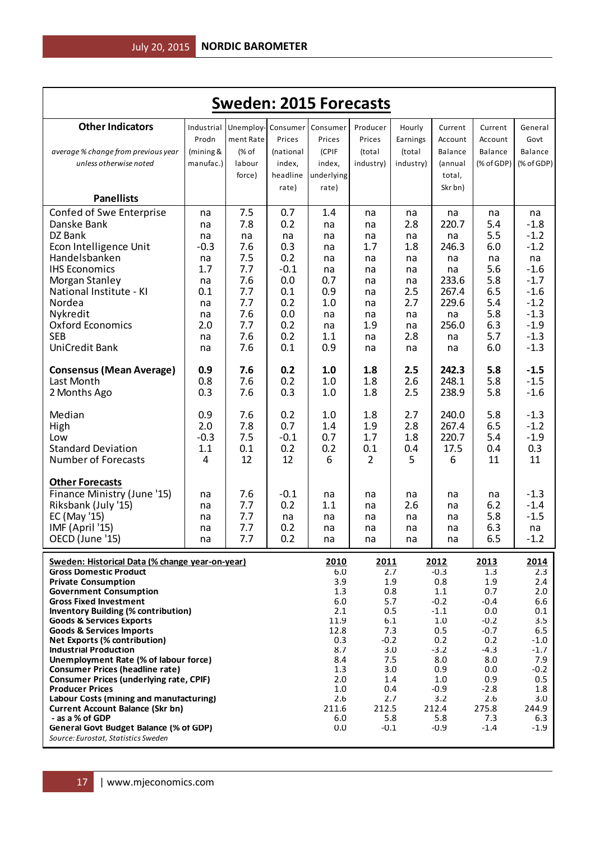|                                                                                    |                                  |                                                   |                     | <b>Sweden: 2015 Forecasts</b> |                              |                              |                               |                               |                                  |
|------------------------------------------------------------------------------------|----------------------------------|---------------------------------------------------|---------------------|-------------------------------|------------------------------|------------------------------|-------------------------------|-------------------------------|----------------------------------|
| <b>Other Indicators</b><br>average % change from previous year                     | Industrial<br>Prodn<br>(mining & | Unemploy- Consumer Consumer<br>ment Rate<br>(% of | Prices<br>(national | Prices<br>(CPIF               | Producer<br>Prices<br>(total | Hourly<br>Earnings<br>(total | Current<br>Account<br>Balance | Current<br>Account<br>Balance | General<br>Govt<br>Balance       |
| unless otherwise noted                                                             | manufac.)                        | labour                                            | index,              | index,                        | industry)                    | industry)                    | (annual                       | (% of GDP)                    | $(% \mathcal{L}_{0})$ (% of GDP) |
|                                                                                    |                                  | force)                                            | headline            | underlying                    |                              |                              | total,                        |                               |                                  |
| <b>Panellists</b>                                                                  |                                  |                                                   | rate)               | rate)                         |                              |                              | Skr bn)                       |                               |                                  |
| Confed of Swe Enterprise                                                           | na                               | 7.5                                               | 0.7                 | 1.4                           | na                           | na                           | na                            | na                            | na                               |
| Danske Bank<br>DZ Bank                                                             | na<br>na                         | 7.8<br>na                                         | 0.2<br>na           | na<br>na                      | na<br>na                     | 2.8<br>na                    | 220.7<br>na                   | 5.4<br>5.5                    | $-1.8$<br>$-1.2$                 |
| Econ Intelligence Unit                                                             | $-0.3$                           | 7.6                                               | 0.3                 | na                            | 1.7                          | 1.8                          | 246.3                         | 6.0                           | $-1.2$                           |
| Handelsbanken                                                                      | na                               | 7.5                                               | 0.2                 | na                            | na                           | na                           | na                            | na                            | na                               |
| <b>IHS Economics</b>                                                               | 1.7                              | 7.7                                               | $-0.1$              | na                            | na                           | na                           | na                            | 5.6                           | $-1.6$                           |
| Morgan Stanley                                                                     | na                               | 7.6                                               | 0.0                 | 0.7                           | na                           | na                           | 233.6                         | 5.8                           | $-1.7$                           |
| National Institute - KI                                                            | 0.1                              | 7.7                                               | 0.1                 | 0.9                           | na                           | 2.5                          | 267.4                         | 6.5                           | $-1.6$                           |
| Nordea<br>Nykredit                                                                 | na<br>na                         | 7.7<br>7.6                                        | 0.2<br>0.0          | 1.0<br>na                     | na<br>na                     | 2.7<br>na                    | 229.6<br>na                   | 5.4<br>5.8                    | $-1.2$<br>$-1.3$                 |
| <b>Oxford Economics</b>                                                            | 2.0                              | 7.7                                               | 0.2                 | na                            | 1.9                          | na                           | 256.0                         | 6.3                           | $-1.9$                           |
| <b>SEB</b>                                                                         | na                               | 7.6                                               | 0.2                 | 1.1                           | na                           | 2.8                          | na                            | 5.7                           | $-1.3$                           |
| UniCredit Bank                                                                     | na                               | 7.6                                               | 0.1                 | 0.9                           | na                           | na                           | na                            | 6.0                           | $-1.3$                           |
| <b>Consensus (Mean Average)</b>                                                    | 0.9                              | 7.6                                               | 0.2                 | 1.0                           | 1.8                          | 2.5                          | 242.3                         | 5.8                           | $-1.5$                           |
| Last Month                                                                         | 0.8<br>0.3                       | 7.6<br>7.6                                        | 0.2<br>0.3          | 1.0<br>1.0                    | 1.8<br>1.8                   | 2.6<br>2.5                   | 248.1<br>238.9                | 5.8<br>5.8                    | $-1.5$<br>$-1.6$                 |
| 2 Months Ago                                                                       |                                  |                                                   |                     |                               |                              |                              |                               |                               |                                  |
| Median                                                                             | 0.9                              | 7.6                                               | 0.2                 | 1.0                           | 1.8                          | 2.7                          | 240.0                         | 5.8                           | $-1.3$                           |
| High<br>Low                                                                        | 2.0<br>$-0.3$                    | 7.8<br>7.5                                        | 0.7<br>$-0.1$       | 1.4<br>0.7                    | 1.9<br>1.7                   | 2.8<br>1.8                   | 267.4<br>220.7                | 6.5<br>5.4                    | $-1.2$<br>$-1.9$                 |
| <b>Standard Deviation</b>                                                          | 1.1                              | 0.1                                               | 0.2                 | 0.2                           | 0.1                          | 0.4                          | 17.5                          | 0.4                           | 0.3                              |
| <b>Number of Forecasts</b>                                                         | 4                                | 12                                                | 12                  | 6                             | 2                            | 5                            | 6                             | 11                            | 11                               |
| <b>Other Forecasts</b>                                                             |                                  |                                                   |                     |                               |                              |                              |                               |                               |                                  |
| Finance Ministry (June '15)                                                        | na                               | 7.6                                               | $-0.1$              | na                            | na                           | na                           | na                            | na                            | $-1.3$                           |
| Riksbank (July '15)<br>EC (May '15)                                                | na<br>na                         | 7.7<br>7.7                                        | 0.2<br>na           | 1.1<br>na                     | na<br>na                     | 2.6<br>na                    | na<br>na                      | 6.2<br>5.8                    | $-1.4$<br>$-1.5$                 |
| IMF (April '15)                                                                    | na                               | 7.7                                               | 0.2                 | na                            | na                           | na                           | na                            | 6.3                           | na                               |
| OECD (June '15)                                                                    | na                               | 7.7                                               | 0.2                 | na                            | na                           | na                           | na                            | 6.5                           | $-1.2$                           |
| Sweden: Historical Data (% change year-on-year)                                    |                                  |                                                   |                     | 2010                          | 2011                         |                              | 2012                          | 2013                          | 2014                             |
| <b>Gross Domestic Product</b>                                                      |                                  |                                                   |                     | 6.0                           |                              | 2.7                          | $-0.3$                        | 1.3                           | 2.3                              |
| <b>Private Consumption</b><br><b>Government Consumption</b>                        |                                  |                                                   |                     | 3.9<br>1.3                    |                              | 1.9<br>0.8                   | 0.8<br>1.1                    | 1.9<br>0.7                    | 2.4<br>2.0                       |
| <b>Gross Fixed Investment</b>                                                      |                                  |                                                   |                     | 6.0                           |                              | 5.7                          | $-0.2$                        | $-0.4$                        | 6.6                              |
| <b>Inventory Building (% contribution)</b>                                         |                                  |                                                   |                     | 2.1                           |                              | 0.5                          | $-1.1$                        | 0.0                           | 0.1                              |
| <b>Goods &amp; Services Exports</b><br><b>Goods &amp; Services Imports</b>         |                                  |                                                   |                     | 11.9<br>12.8                  |                              | 6.1<br>7.3                   | 1.0<br>0.5                    | $-0.2$<br>$-0.7$              | 3.5<br>6.5                       |
| <b>Net Exports (% contribution)</b>                                                |                                  |                                                   |                     | 0.3                           | $-0.2$                       |                              | 0.2                           | 0.2                           | $-1.0$                           |
| <b>Industrial Production</b>                                                       |                                  |                                                   |                     | 8.7                           |                              | 3.0                          | $-3.2$                        | $-4.3$                        | $-1.7$                           |
| Unemployment Rate (% of labour force)<br><b>Consumer Prices (headline rate)</b>    |                                  |                                                   |                     | 8.4<br>1.3                    |                              | 7.5<br>3.0                   | 8.0<br>0.9                    | 8.0<br>0.0                    | 7.9<br>$-0.2$                    |
| <b>Consumer Prices (underlying rate, CPIF)</b>                                     |                                  |                                                   |                     | 2.0                           |                              | 1.4                          | 1.0                           | 0.9                           | 0.5                              |
| <b>Producer Prices</b>                                                             |                                  |                                                   |                     | 1.0                           |                              | 0.4                          | $-0.9$                        | $-2.8$                        | 1.8                              |
| Labour Costs (mining and manufacturing)<br><b>Current Account Balance (Skr bn)</b> |                                  |                                                   |                     | 2.6<br>211.6                  | 212.5                        | 2.7                          | 3.2<br>212.4                  | 2.6<br>275.8                  | 3.0<br>244.9                     |
| - as a % of GDP                                                                    |                                  |                                                   |                     | 6.0                           |                              | 5.8                          | 5.8                           | 7.3                           | 6.3                              |
| General Govt Budget Balance (% of GDP)<br>Source: Eurostat, Statistics Sweden      |                                  |                                                   |                     | 0.0                           | $-0.1$                       |                              | $-0.9$                        | $-1.4$                        | $-1.9$                           |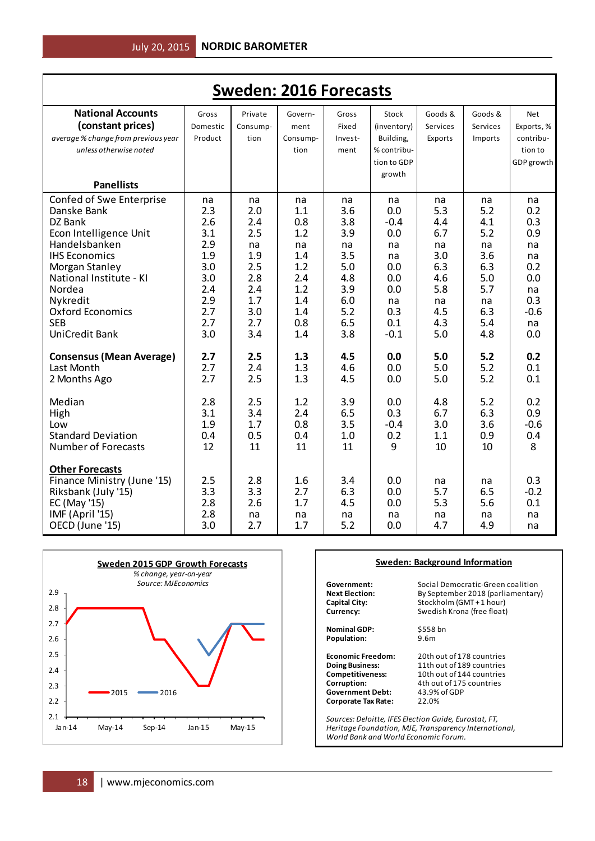| <b>Sweden: 2016 Forecasts</b>                 |                   |                     |                 |                |                      |                     |                     |                          |  |
|-----------------------------------------------|-------------------|---------------------|-----------------|----------------|----------------------|---------------------|---------------------|--------------------------|--|
| <b>National Accounts</b><br>(constant prices) | Gross<br>Domestic | Private<br>Consump- | Govern-<br>ment | Gross<br>Fixed | Stock<br>(inventory) | Goods &<br>Services | Goods &<br>Services | <b>Net</b><br>Exports, % |  |
| average % change from previous year           | Product           | tion                | Consump-        | Invest-        | Building,            | Exports             | Imports             | contribu-                |  |
| unless otherwise noted                        |                   |                     | tion            | ment           | % contribu-          |                     |                     | tion to                  |  |
|                                               |                   |                     |                 |                | tion to GDP          |                     |                     | GDP growth               |  |
|                                               |                   |                     |                 |                | growth               |                     |                     |                          |  |
| <b>Panellists</b>                             |                   |                     |                 |                |                      |                     |                     |                          |  |
| Confed of Swe Enterprise                      | na                | na                  | na              | na             | na                   | na                  | na                  | na                       |  |
| Danske Bank                                   | 2.3               | 2.0                 | 1.1             | 3.6            | 0.0                  | 5.3                 | 5.2                 | 0.2                      |  |
| DZ Bank<br>Econ Intelligence Unit             | 2.6<br>3.1        | 2.4<br>2.5          | 0.8<br>1.2      | 3.8<br>3.9     | $-0.4$<br>0.0        | 4.4<br>6.7          | 4.1<br>5.2          | 0.3<br>0.9               |  |
| Handelsbanken                                 | 2.9               | na                  | na              | na             | na                   | na                  | na                  | na                       |  |
| <b>IHS Economics</b>                          | 1.9               | 1.9                 | 1.4             | 3.5            | na                   | 3.0                 | 3.6                 | na                       |  |
| Morgan Stanley                                | 3.0               | 2.5                 | 1.2             | 5.0            | 0.0                  | 6.3                 | 6.3                 | 0.2                      |  |
| National Institute - KI                       | 3.0               | 2.8                 | 2.4             | 4.8            | 0.0                  | 4.6                 | 5.0                 | 0.0                      |  |
| Nordea                                        | 2.4               | 2.4                 | 1.2             | 3.9            | 0.0                  | 5.8                 | 5.7                 | na                       |  |
| Nykredit                                      | 2.9               | 1.7                 | 1.4             | 6.0            | na                   | na                  | na                  | 0.3                      |  |
| Oxford Economics                              | 2.7               | 3.0                 | 1.4             | 5.2            | 0.3                  | 4.5                 | 6.3                 | $-0.6$                   |  |
| <b>SEB</b>                                    | 2.7               | 2.7                 | 0.8             | 6.5            | 0.1                  | 4.3                 | 5.4                 | na                       |  |
| <b>UniCredit Bank</b>                         | 3.0               | 3.4                 | 1.4             | 3.8            | $-0.1$               | 5.0                 | 4.8                 | 0.0                      |  |
| <b>Consensus (Mean Average)</b>               | 2.7               | 2.5                 | 1.3             | 4.5            | 0.0                  | 5.0                 | 5.2                 | 0.2                      |  |
| Last Month                                    | 2.7               | 2.4                 | 1.3             | 4.6            | 0.0                  | 5.0                 | 5.2                 | 0.1                      |  |
| 2 Months Ago                                  | 2.7               | 2.5                 | 1.3             | 4.5            | 0.0                  | 5.0                 | 5.2                 | 0.1                      |  |
| Median                                        | 2.8               | 2.5                 | 1.2             | 3.9            | 0.0                  | 4.8                 | 5.2                 | 0.2                      |  |
| High                                          | 3.1               | 3.4                 | 2.4             | 6.5            | 0.3                  | 6.7                 | 6.3                 | 0.9                      |  |
| Low                                           | 1.9               | 1.7                 | 0.8             | 3.5            | $-0.4$               | 3.0                 | 3.6                 | $-0.6$                   |  |
| <b>Standard Deviation</b>                     | 0.4               | 0.5                 | 0.4             | 1.0            | 0.2                  | 1.1                 | 0.9                 | 0.4                      |  |
| <b>Number of Forecasts</b>                    | 12                | 11                  | 11              | 11             | 9                    | 10                  | 10                  | 8                        |  |
| <b>Other Forecasts</b>                        |                   |                     |                 |                |                      |                     |                     |                          |  |
| Finance Ministry (June '15)                   | 2.5               | 2.8                 | 1.6             | 3.4            | 0.0                  | na                  | na                  | 0.3                      |  |
| Riksbank (July '15)                           | 3.3               | 3.3                 | 2.7             | 6.3            | 0.0                  | 5.7                 | 6.5                 | $-0.2$                   |  |
| EC (May '15)<br>IMF (April '15)               | 2.8<br>2.8        | 2.6<br>na           | 1.7             | 4.5            | 0.0<br>na            | 5.3                 | 5.6                 | 0.1<br>na                |  |
| OECD (June '15)                               | 3.0               | 2.7                 | na<br>1.7       | na<br>5.2      | 0.0                  | na<br>4.7           | na<br>4.9           | na                       |  |
|                                               |                   |                     |                 |                |                      |                     |                     |                          |  |



# **Sweden: Background Information**

| By September 2018 (parliamentary)                |
|--------------------------------------------------|
|                                                  |
| Stockholm (GMT + 1 hour)                         |
| Swedish Krona (free float)                       |
| \$558 bn                                         |
| 9.6 <sub>m</sub>                                 |
| 20th out of 178 countries                        |
| 11th out of 189 countries                        |
| 10th out of 144 countries                        |
| 4th out of 175 countries                         |
| 43.9% of GDP                                     |
| 22.0%                                            |
| Courses Delaitte IFFS Flootion Cuide Eurostat FT |

*Sources: Deloitte, IFES Election Guide, Eurostat, FT, Heritage Foundation, MJE, Transparency International, World Bank and World Economic Forum.*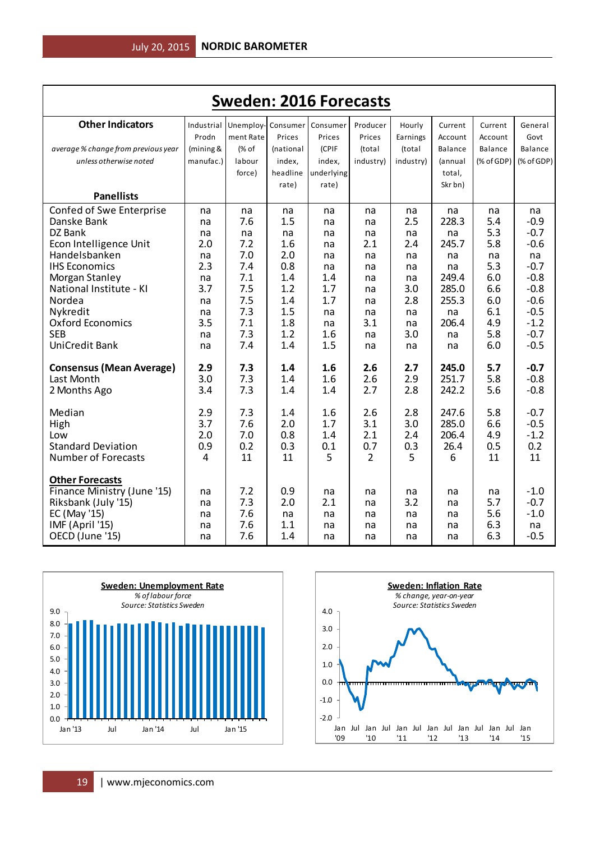| <b>Sweden: 2016 Forecasts</b>       |            |                             |            |            |                |            |                |            |                  |
|-------------------------------------|------------|-----------------------------|------------|------------|----------------|------------|----------------|------------|------------------|
| <b>Other Indicators</b>             | Industrial | Unemploy- Consumer Consumer |            |            | Producer       | Hourly     | Current        | Current    | General          |
|                                     | Prodn      | ment Rate                   | Prices     | Prices     | Prices         | Earnings   | Account        | Account    | Govt             |
| average % change from previous year | (mining &  | (% of                       | (national  | (CPIF      | (total         | (total     | <b>Balance</b> | Balance    | Balance          |
| unless otherwise noted              | manufac.)  | labour                      | index,     | index,     | industry)      | industry)  | (annual        | (% of GDP) | (% of GDP)       |
|                                     |            | force)                      | headline   | underlying |                |            | total,         |            |                  |
|                                     |            |                             | rate)      | rate)      |                |            | Skr bn)        |            |                  |
| <b>Panellists</b>                   |            |                             |            |            |                |            |                |            |                  |
| Confed of Swe Enterprise            | na         | na                          | na         | na         | na             | na         | na             | na         | na               |
| Danske Bank                         | na         | 7.6                         | 1.5        | na         | na             | 2.5        | 228.3          | 5.4        | $-0.9$           |
| DZ Bank                             | na         | na                          | na         | na         | na             | na         | na             | 5.3        | $-0.7$           |
| Econ Intelligence Unit              | 2.0        | 7.2                         | 1.6        | na         | 2.1            | 2.4        | 245.7          | 5.8        | $-0.6$           |
| Handelsbanken                       | na         | 7.0                         | 2.0        | na         | na             | na         | na             | na         | na               |
| <b>IHS Economics</b>                | 2.3        | 7.4                         | 0.8        | na         | na             | na         | na             | 5.3        | $-0.7$           |
| Morgan Stanley                      | na         | 7.1                         | 1.4        | 1.4        | na             | na         | 249.4          | 6.0        | $-0.8$<br>$-0.8$ |
| National Institute - KI<br>Nordea   | 3.7        | 7.5<br>7.5                  | 1.2<br>1.4 | 1.7<br>1.7 | na             | 3.0<br>2.8 | 285.0<br>255.3 | 6.6<br>6.0 | $-0.6$           |
| Nykredit                            | na<br>na   | 7.3                         | 1.5        | na         | na<br>na       | na         | na             | 6.1        | $-0.5$           |
| <b>Oxford Economics</b>             | 3.5        | 7.1                         | 1.8        | na         | 3.1            | na         | 206.4          | 4.9        | $-1.2$           |
| <b>SEB</b>                          | na         | 7.3                         | 1.2        | 1.6        | na             | 3.0        | na             | 5.8        | $-0.7$           |
| <b>UniCredit Bank</b>               | na         | 7.4                         | 1.4        | 1.5        | na             | na         | na             | 6.0        | $-0.5$           |
|                                     |            |                             |            |            |                |            |                |            |                  |
| <b>Consensus (Mean Average)</b>     | 2.9        | 7.3                         | 1.4        | 1.6        | 2.6            | 2.7        | 245.0          | 5.7        | $-0.7$           |
| Last Month                          | 3.0        | 7.3                         | 1.4        | 1.6        | 2.6            | 2.9        | 251.7          | 5.8        | $-0.8$           |
| 2 Months Ago                        | 3.4        | 7.3                         | 1.4        | 1.4        | 2.7            | 2.8        | 242.2          | 5.6        | $-0.8$           |
| Median                              | 2.9        | 7.3                         | 1.4        | 1.6        | 2.6            | 2.8        | 247.6          | 5.8        | $-0.7$           |
| High                                | 3.7        | 7.6                         | 2.0        | 1.7        | 3.1            | 3.0        | 285.0          | 6.6        | $-0.5$           |
| Low                                 | 2.0        | 7.0                         | 0.8        | 1.4        | 2.1            | 2.4        | 206.4          | 4.9        | $-1.2$           |
| <b>Standard Deviation</b>           | 0.9        | 0.2                         | 0.3        | 0.1        | 0.7            | 0.3        | 26.4           | 0.5        | 0.2              |
| <b>Number of Forecasts</b>          | 4          | 11                          | 11         | 5          | $\overline{2}$ | 5          | 6              | 11         | 11               |
| <b>Other Forecasts</b>              |            |                             |            |            |                |            |                |            |                  |
| Finance Ministry (June '15)         | na         | 7.2                         | 0.9        | na         | na             | na         | na             | na         | $-1.0$           |
| Riksbank (July '15)                 | na         | 7.3                         | 2.0        | 2.1        | na             | 3.2        | na             | 5.7        | $-0.7$           |
| EC (May '15)                        | na         | 7.6                         | na         | na         | na             | na         | na             | 5.6        | $-1.0$           |
| IMF (April '15)                     | na         | 7.6                         | 1.1        | na         | na             | na         | na             | 6.3        | na               |
| OECD (June '15)                     | na         | 7.6                         | 1.4        | na         | na             | na         | na             | 6.3        | $-0.5$           |



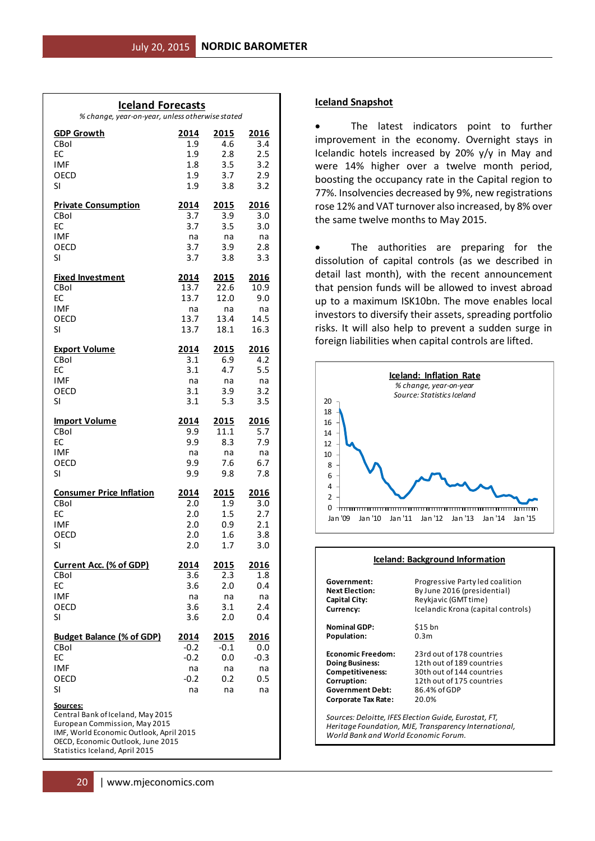| <b>Iceland Forecasts</b><br>% change, year-on-year, unless otherwise stated                                                                                           |              |              |                     |  |  |  |  |  |  |
|-----------------------------------------------------------------------------------------------------------------------------------------------------------------------|--------------|--------------|---------------------|--|--|--|--|--|--|
| <b>GDP Growth</b>                                                                                                                                                     | 2014         | 2015         | 2016                |  |  |  |  |  |  |
| CBol                                                                                                                                                                  | 1.9          | 4.6          | 3.4                 |  |  |  |  |  |  |
| EC<br><b>IMF</b>                                                                                                                                                      | 1.9<br>1.8   | 2.8<br>3.5   | 2.5<br>3.2          |  |  |  |  |  |  |
| OECD                                                                                                                                                                  | 1.9          | 3.7          | 2.9                 |  |  |  |  |  |  |
| SI                                                                                                                                                                    | 1.9          | 3.8          | 3.2                 |  |  |  |  |  |  |
| <b>Private Consumption</b>                                                                                                                                            | 2014         | 2015         | 2016                |  |  |  |  |  |  |
| CBol                                                                                                                                                                  | 3.7          | 3.9          | 3.0                 |  |  |  |  |  |  |
| EC                                                                                                                                                                    | 3.7          | 3.5          | 3.0                 |  |  |  |  |  |  |
| <b>IMF</b><br>OECD                                                                                                                                                    | na<br>3.7    | na<br>3.9    | na<br>2.8           |  |  |  |  |  |  |
| SI                                                                                                                                                                    | 3.7          | 3.8          | 3.3                 |  |  |  |  |  |  |
| <b>Fixed Investment</b>                                                                                                                                               | 2014         | 2015         | 2016                |  |  |  |  |  |  |
| CBol                                                                                                                                                                  | 13.7         | 22.6         | 10.9                |  |  |  |  |  |  |
| EC                                                                                                                                                                    | 13.7         | 12.0         | 9.0                 |  |  |  |  |  |  |
| <b>IMF</b>                                                                                                                                                            | na           | na           | na                  |  |  |  |  |  |  |
| OECD<br>SI                                                                                                                                                            | 13.7<br>13.7 | 13.4<br>18.1 | 14.5<br>16.3        |  |  |  |  |  |  |
|                                                                                                                                                                       |              |              |                     |  |  |  |  |  |  |
| <b>Export Volume</b>                                                                                                                                                  | 2014         | 2015         | 2016                |  |  |  |  |  |  |
| CBol<br>EC                                                                                                                                                            | 3.1<br>3.1   | 6.9<br>4.7   | 4.2<br>5.5          |  |  |  |  |  |  |
| <b>IMF</b>                                                                                                                                                            | na           | na           | na                  |  |  |  |  |  |  |
| OECD                                                                                                                                                                  | 3.1          | 3.9          | 3.2                 |  |  |  |  |  |  |
| SI                                                                                                                                                                    | 3.1          | 5.3          | 3.5                 |  |  |  |  |  |  |
| <b>Import Volume</b>                                                                                                                                                  | 2014         | 2015         | 2016                |  |  |  |  |  |  |
| CBol                                                                                                                                                                  | 9.9          | 11.1         | 5.7                 |  |  |  |  |  |  |
| EC                                                                                                                                                                    | 9.9          | 8.3          | 7.9                 |  |  |  |  |  |  |
| <b>IMF</b><br>OECD                                                                                                                                                    | na<br>9.9    | na<br>7.6    | na<br>6.7           |  |  |  |  |  |  |
| SI                                                                                                                                                                    | 9.9          | 9.8          | 7.8                 |  |  |  |  |  |  |
| <b>Consumer Price Inflation</b>                                                                                                                                       | 2014         | 2015         | 2016                |  |  |  |  |  |  |
| CBol                                                                                                                                                                  | 2.0          | 1.9          | 3.0                 |  |  |  |  |  |  |
| EC                                                                                                                                                                    | 2.0          | 1.5          | 2.7                 |  |  |  |  |  |  |
| <b>IMF</b>                                                                                                                                                            | 2.0          | 0.9          | 2.1                 |  |  |  |  |  |  |
| OECD<br>SI.                                                                                                                                                           | 2.0<br>2.0   | 1.6<br>1.7   | 3.8<br>3.0          |  |  |  |  |  |  |
|                                                                                                                                                                       |              |              |                     |  |  |  |  |  |  |
| <b>Current Acc. (% of GDP)</b><br>CBol                                                                                                                                | 2014<br>3.6  | 2015<br>2.3  | <u> 2016</u><br>1.8 |  |  |  |  |  |  |
| EC                                                                                                                                                                    | 3.6          | 2.0          | 0.4                 |  |  |  |  |  |  |
| <b>IMF</b>                                                                                                                                                            | na           | na           | na                  |  |  |  |  |  |  |
| OECD                                                                                                                                                                  | 3.6          | 3.1          | 2.4                 |  |  |  |  |  |  |
| SI                                                                                                                                                                    | 3.6          | 2.0          | 0.4                 |  |  |  |  |  |  |
| <b>Budget Balance (% of GDP)</b>                                                                                                                                      | <u>2014</u>  | <u> 2015</u> | <u> 2016</u>        |  |  |  |  |  |  |
| CBol                                                                                                                                                                  | $-0.2$       | $-0.1$       | 0.0                 |  |  |  |  |  |  |
| EC<br><b>IMF</b>                                                                                                                                                      | $-0.2$<br>na | 0.0<br>na    | $-0.3$<br>na        |  |  |  |  |  |  |
| OECD                                                                                                                                                                  | $-0.2$       | 0.2          | 0.5                 |  |  |  |  |  |  |
| SI                                                                                                                                                                    | na           | na           | na                  |  |  |  |  |  |  |
|                                                                                                                                                                       |              |              |                     |  |  |  |  |  |  |
| <u>Sources:</u><br>Central Bank of Iceland, May 2015<br>European Commission, May 2015<br>IMF, World Economic Outlook, April 2015<br>OECD, Economic Outlook, June 2015 |              |              |                     |  |  |  |  |  |  |
| Statistics Iceland, April 2015                                                                                                                                        |              |              |                     |  |  |  |  |  |  |

# **Iceland Snapshot**

 The latest indicators point to further improvement in the economy. Overnight stays in Icelandic hotels increased by 20% y/y in May and were 14% higher over a twelve month period, boosting the occupancy rate in the Capital region to 77%. Insolvencies decreased by 9%, new registrations rose 12% and VAT turnover also increased, by 8% over the same twelve months to May 2015.

 The authorities are preparing for the dissolution of capital controls (as we described in detail last month), with the recent announcement that pension funds will be allowed to invest abroad up to a maximum ISK10bn. The move enables local investors to diversify their assets, spreading portfolio risks. It will also help to prevent a sudden surge in foreign liabilities when capital controls are lifted.



| Iceland: Background Information                                                                                                                        |                                    |  |  |
|--------------------------------------------------------------------------------------------------------------------------------------------------------|------------------------------------|--|--|
| Government:                                                                                                                                            | Progressive Party led coalition    |  |  |
| <b>Next Election:</b>                                                                                                                                  | By June 2016 (presidential)        |  |  |
| <b>Capital City:</b>                                                                                                                                   | Reykjavic (GMT time)               |  |  |
| Currency:                                                                                                                                              | Icelandic Krona (capital controls) |  |  |
| <b>Nominal GDP:</b>                                                                                                                                    | \$15 bn                            |  |  |
| Population:                                                                                                                                            | 0.3m                               |  |  |
| <b>Economic Freedom:</b>                                                                                                                               | 23rd out of 178 countries          |  |  |
| <b>Doing Business:</b>                                                                                                                                 | 12th out of 189 countries          |  |  |
| <b>Competitiveness:</b>                                                                                                                                | 30th out of 144 countries          |  |  |
| Corruption:                                                                                                                                            | 12th out of 175 countries          |  |  |
| <b>Government Debt:</b>                                                                                                                                | 86.4% of GDP                       |  |  |
| <b>Corporate Tax Rate:</b>                                                                                                                             | 20.0%                              |  |  |
| Sources: Deloitte, IFES Election Guide, Eurostat, FT,<br>Heritage Foundation, MJE, Transparency International,<br>World Bank and World Economic Forum. |                                    |  |  |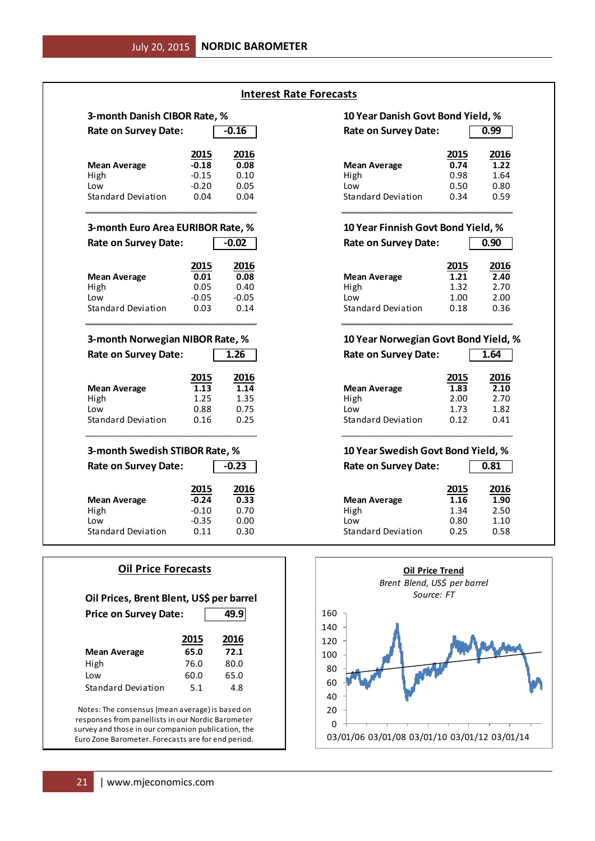| 3-month Danish CIBOR Rate, %      |         |         | 10 Year Danish Govt Bond Yield, %  |      |  |
|-----------------------------------|---------|---------|------------------------------------|------|--|
| <b>Rate on Survey Date:</b>       |         | $-0.16$ | <b>Rate on Survey Date:</b>        |      |  |
|                                   | 2015    | 2016    |                                    | 2015 |  |
| <b>Mean Average</b>               | $-0.18$ | 0.08    | <b>Mean Average</b>                | 0.74 |  |
| High                              | $-0.15$ | 0.10    | High                               | 0.98 |  |
| Low                               | $-0.20$ | 0.05    | Low                                | 0.50 |  |
| <b>Standard Deviation</b>         | 0.04    | 0.04    | Standard Deviation                 | 0.34 |  |
| 3-month Euro Area EURIBOR Rate, % |         |         | 10 Year Finnish Govt Bond Yield, % |      |  |
| <b>Rate on Survey Date:</b>       |         | $-0.02$ | <b>Rate on Survey Date:</b>        |      |  |
|                                   | 2015    | 2016    |                                    | 2015 |  |
| <b>Mean Average</b>               | 0.01    | 0.08    | <b>Mean Average</b>                | 1.21 |  |
| High                              | 0.05    | 0.40    | High                               | 1.32 |  |
| Low                               | $-0.05$ | $-0.05$ | Low                                | 1.00 |  |
| <b>Standard Deviation</b>         | 0.03    | 0.14    | <b>Standard Deviation</b>          | 0.18 |  |
| 3-month Norwegian NIBOR Rate, %   |         |         | 10 Year Norwegian Govt Bond Yield, |      |  |
| <b>Rate on Survey Date:</b>       |         | 1.26    | <b>Rate on Survey Date:</b>        |      |  |
|                                   | 2015    | 2016    |                                    | 2015 |  |
| <b>Mean Average</b>               | 1.13    | 1.14    | <b>Mean Average</b>                | 1.83 |  |
| High                              | 1.25    | 1.35    | High                               | 2.00 |  |
| Low                               | 0.88    | 0.75    | Low                                | 1.73 |  |
| <b>Standard Deviation</b>         | 0.16    | 0.25    | <b>Standard Deviation</b>          | 0.12 |  |
| 3-month Swedish STIBOR Rate, %    |         |         | 10 Year Swedish Govt Bond Yield, % |      |  |
| <b>Rate on Survey Date:</b>       |         | $-0.23$ | <b>Rate on Survey Date:</b>        |      |  |
|                                   | 2015    | 2016    |                                    | 2015 |  |
| <b>Mean Average</b>               | $-0.24$ | 0.33    | <b>Mean Average</b>                | 1.16 |  |
| High                              | $-0.10$ | 0.70    | High                               | 1.34 |  |
| Low                               | $-0.35$ | 0.00    | Low                                | 0.80 |  |
| <b>Standard Deviation</b>         | 0.11    | 0.30    |                                    | 0.25 |  |

| <b>Oil Price Forecasts</b>                                                                                                                                |      |      |  |  |
|-----------------------------------------------------------------------------------------------------------------------------------------------------------|------|------|--|--|
| Oil Prices, Brent Blent, US\$ per barrel                                                                                                                  |      |      |  |  |
| 49.9<br><b>Price on Survey Date:</b>                                                                                                                      |      |      |  |  |
|                                                                                                                                                           | 2015 | 2016 |  |  |
| <b>Mean Average</b>                                                                                                                                       | 65.0 | 72.1 |  |  |
| High                                                                                                                                                      | 76.0 | 80.0 |  |  |
| Low                                                                                                                                                       | 60.0 | 65.0 |  |  |
| <b>Standard Deviation</b>                                                                                                                                 | 5.1  | 4.8  |  |  |
| Notes: The consensus (mean average) is based on<br>responses from panellists in our Nordic Barometer<br>survey and those in our companion publication the |      |      |  |  |

survey and those in our companion publication, the Euro Zone Barometer. Forecasts are for end period.

# **Interest Rate Forecasts**

# **10 Year Danish Govt Bond Yield, %** Rate on Survey Date: 0.99

| <u> 2015</u> | 2016 |                           | 2015 | 2016 |
|--------------|------|---------------------------|------|------|
| $-0.18$      | 0.08 | <b>Mean Average</b>       | 0.74 | 1.22 |
| $-0.15$      | 0.10 | High                      | 0.98 | 1.64 |
| $-0.20$      | 0.05 | Low                       | 0.50 | 0.80 |
| 0.04         | 0.04 | <b>Standard Deviation</b> | 0.34 | 0.59 |

# **10 Year Finnish Govt Bond Yield, %**

| $-0.02$       |         | <b>Rate on Survey Date:</b> |      | 0.90 |  |
|---------------|---------|-----------------------------|------|------|--|
| <u> 2015 </u> | 2016    |                             | 2015 | 2016 |  |
| 0.01          | 0.08    | <b>Mean Average</b>         | 1.21 | 2.40 |  |
| 0.05          | 0.40    | High                        | 1.32 | 2.70 |  |
| -0.05         | $-0.05$ | Low                         | 1.00 | 2.00 |  |
| 0.03          | 0.14    | Standard Deviation          | 0.18 | 0.36 |  |

# **10 Year Norwegian Govt Bond Yield, %**

|                       | 1.26         | <b>Rate on Survey Date:</b>                      | 1.64         |
|-----------------------|--------------|--------------------------------------------------|--------------|
| <u> 2015 </u><br>1.13 | 2016<br>1.14 | 2015<br>1.83<br><b>Mean Average</b>              | 2016<br>2.10 |
| 1.25                  | 1.35         | High<br>2.00                                     | 2.70         |
| 0.88<br>0.16          | 0.75<br>0.25 | 1.73<br>Low<br><b>Standard Deviation</b><br>0.12 | 1.82<br>0.41 |

# **10 Year Swedish Govt Bond Yield, %**

| 2016         |      |
|--------------|------|
| 2.50         |      |
| 1.10<br>0.58 |      |
|              | 1.90 |

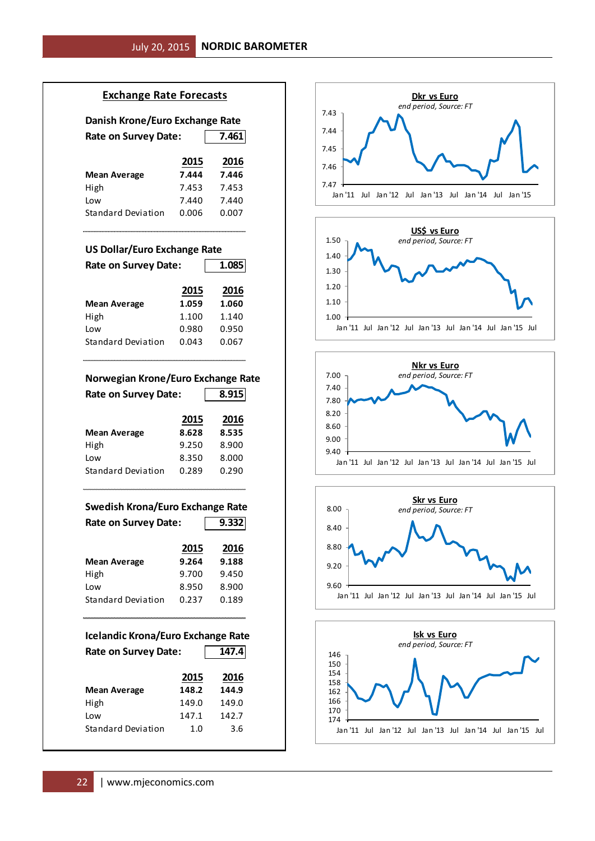# **Exchange Rate Forecasts**

# **Danish Krone/Euro Exchange Rate**

| <b>Rate on Survey Date:</b> |       | 7.461 |
|-----------------------------|-------|-------|
|                             | 2015  | 2016  |
| Mean Average                | 7.444 | 7.446 |
| High                        | 7.453 | 7.453 |
| Low                         | 7.440 | 7.440 |
| Standard Deviation          | 0.006 | 0.007 |

# **US Dollar/Euro Exchange Rate**

| <b>Rate on Survey Date:</b> |       | 1.085 |
|-----------------------------|-------|-------|
|                             | 2015  | 2016  |
| <b>Mean Average</b>         | 1.059 | 1.060 |
| High                        | 1.100 | 1.140 |
| Low                         | 0.980 | 0.950 |
| <b>Standard Deviation</b>   | 0.043 | 0.067 |

### **Norwegian Krone/Euro Exchange Rate**

| <b>Rate on Survey Date:</b> |       | 8.915 |  |  |
|-----------------------------|-------|-------|--|--|
|                             | 2015  | 2016  |  |  |
| <b>Mean Average</b>         | 8.628 | 8.535 |  |  |
| High                        | 9.250 | 8.900 |  |  |
| Low                         | 8.350 | 8.000 |  |  |
| Standard Deviation          | 0.289 | 0.290 |  |  |

# **Swedish Krona/Euro Exchange Rate** Rate on Survey Date: 9.332

|                           | 2015  | 2016  |
|---------------------------|-------|-------|
| <b>Mean Average</b>       | 9.264 | 9.188 |
| High                      | 9.700 | 9.450 |
| Low                       | 8.950 | 8.900 |
| <b>Standard Deviation</b> | 0.237 | 0.189 |
|                           |       |       |

# **Icelandic Krona/Euro Exchange Rate** Rate on Survey Date: 147.4 **2015 2016 Mean Average 148.2 144.9** High 149.0 149.0 Low 147.1 142.7 Standard Deviation 1.0 3.6









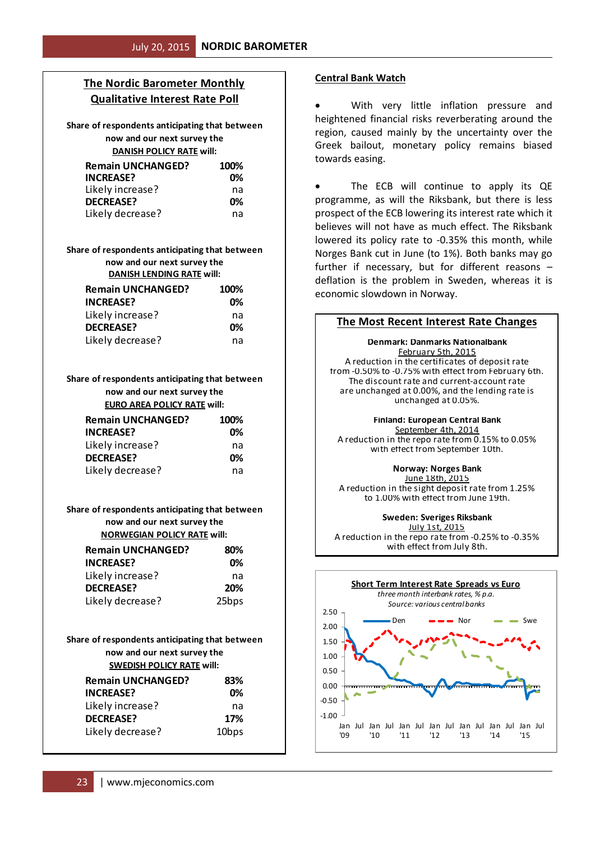# **The Nordic Barometer Monthly Qualitative Interest Rate Poll**

**Share of respondents anticipating that between now and our next survey the DANISH POLICY RATE will:**

| <b>Remain UNCHANGED?</b> | 100% |
|--------------------------|------|
| <b>INCREASE?</b>         | በ%   |
| Likely increase?         | na   |
| <b>DECREASE?</b>         | በ%   |
| Likely decrease?         | na   |

### **Share of respondents anticipating that between now and our next survey the DANISH LENDING RATE will:**

| <b>Remain UNCHANGED?</b> | 100% |
|--------------------------|------|
| <b>INCREASE?</b>         | 0%   |
| Likely increase?         | na   |
| <b>DECREASE?</b>         | 0%   |
| Likely decrease?         | na   |

**Share of respondents anticipating that between now and our next survey the EURO AREA POLICY RATE will:**

| <b>Remain UNCHANGED?</b> | 100% |
|--------------------------|------|
| <b>INCREASE?</b>         | በ%   |
| Likely increase?         | na   |
| <b>DECREASE?</b>         | 0%   |
| Likely decrease?         | na   |

**Share of respondents anticipating that between now and our next survey the NORWEGIAN POLICY RATE will:**

| <b>Remain UNCHANGED?</b> | 80%        |
|--------------------------|------------|
| <b>INCREASE?</b>         | 0%         |
| Likely increase?         | na         |
| <b>DECREASE?</b>         | <b>20%</b> |
| Likely decrease?         | 25bps      |

# **Share of respondents anticipating that between now and our next survey the SWEDISH POLICY RATE will:**

| <b>Remain UNCHANGED?</b>                   | 100%              |
|--------------------------------------------|-------------------|
| <b>INCREASE?</b>                           | 0%                |
| Likely increase?                           | na                |
| <b>DECREASE?</b>                           | 0%                |
| Likely decrease?                           | na                |
| are of respondents anticipating that betwe |                   |
| now and our next survey the                |                   |
| <b>DANISH LENDING RATE will:</b>           |                   |
| <b>Remain UNCHANGED?</b>                   | 100%              |
| <b>INCREASE?</b>                           | 0%                |
| Likely increase?                           | na                |
| <b>DECREASE?</b>                           | 0%                |
| Likely decrease?                           | na                |
| are of respondents anticipating that betwe |                   |
| now and our next survey the                |                   |
| <b>EURO AREA POLICY RATE will:</b>         |                   |
| <b>Remain UNCHANGED?</b>                   | 100%              |
| <b>INCREASE?</b>                           | 0%                |
| Likely increase?                           |                   |
| <b>DECREASE?</b>                           | na<br>0%          |
| Likely decrease?                           | na                |
|                                            |                   |
| are of respondents anticipating that betwe |                   |
| now and our next survey the                |                   |
| <b>NORWEGIAN POLICY RATE will:</b>         |                   |
| <b>Remain UNCHANGED?</b>                   | 80%               |
| <b>INCREASE?</b>                           | 0%                |
| Likely increase?                           | na                |
| <b>DECREASE?</b>                           | 20%               |
| Likely decrease?                           | 25bps             |
|                                            |                   |
| are of respondents anticipating that betwe |                   |
| now and our next survey the                |                   |
| <b>SWEDISH POLICY RATE will:</b>           |                   |
| <b>Remain UNCHANGED?</b>                   | 83%               |
| <b>INCREASE?</b>                           | 0%                |
| Likely increase?                           | na                |
| <b>DECREASE?</b>                           | 17%               |
| Likely decrease?                           | 10 <sub>bps</sub> |
|                                            |                   |
| www.mjeconomics.com<br>$\overline{23}$     |                   |
|                                            |                   |

# **Central Bank Watch**

 With very little inflation pressure and heightened financial risks reverberating around the region, caused mainly by the uncertainty over the Greek bailout, monetary policy remains biased towards easing.

 The ECB will continue to apply its QE programme, as will the Riksbank, but there is less prospect of the ECB lowering its interest rate which it believes will not have as much effect. The Riksbank lowered its policy rate to -0.35% this month, while Norges Bank cut in June (to 1%). Both banks may go further if necessary, but for different reasons – deflation is the problem in Sweden, whereas it is economic slowdown in Norway.

# **The Most Recent Interest Rate Changes**

unchanged at 0.05%. February 5th, 2015 A reduction in the certificates of deposit rate are unchanged at 0.00%, and the lending rate is from -0.50% to -0.75% with effect from February 6th. The discount rate and current-account rate **Denmark: Danmarks Nationalbank**

**Finland: European Central Bank** September 4th, 2014 A reduction in the repo rate from 0.15% to 0.05% with effect from September 10th.

**Norway: Norges Bank**

to 1.00% with effect from June 19th. June 18th, 2015 A reduction in the sight deposit rate from 1.25%

A reduction in the repo rate from -0.25% to -0.35% with effect from July 8th. **Sweden: Sveriges Riksbank** July 1st, 2015

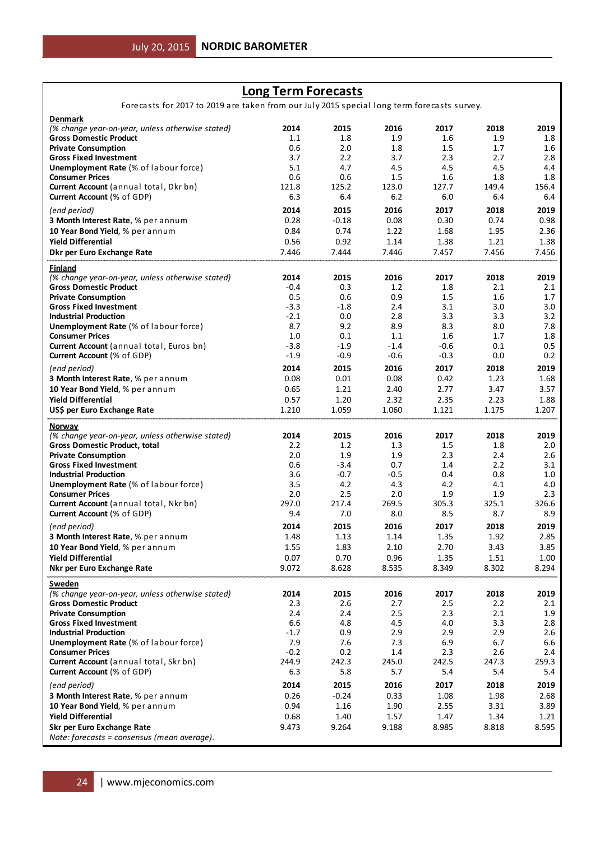# **Long Term Forecasts**

Forecasts for 2017 to 2019 are taken from our July 2015 special long term forecasts survey.

| <b>Denmark</b>                                                            |              |            |            |            |            |              |
|---------------------------------------------------------------------------|--------------|------------|------------|------------|------------|--------------|
| (% change year-on-year, unless otherwise stated)                          | 2014         | 2015       | 2016       | 2017       | 2018       | 2019         |
| <b>Gross Domestic Product</b>                                             | 1.1          | 1.8        | 1.9        | 1.6        | 1.9        | 1.8          |
| <b>Private Consumption</b>                                                | 0.6          | 2.0        | 1.8        | 1.5        | 1.7        | 1.6          |
| <b>Gross Fixed Investment</b>                                             | 3.7          | 2.2        | 3.7        | 2.3        | 2.7        | 2.8          |
| <b>Unemployment Rate (% of labour force)</b>                              | 5.1          | 4.7<br>0.6 | 4.5<br>1.5 | 4.5<br>1.6 | 4.5<br>1.8 | 4.4          |
| <b>Consumer Prices</b><br>Current Account (annual total, Dkr bn)          | 0.6<br>121.8 | 125.2      | 123.0      | 127.7      | 149.4      | 1.8<br>156.4 |
| <b>Current Account (% of GDP)</b>                                         | 6.3          | 6.4        | 6.2        | 6.0        | 6.4        | 6.4          |
|                                                                           |              |            |            |            |            |              |
| (end period)                                                              | 2014         | 2015       | 2016       | 2017       | 2018       | 2019         |
| 3 Month Interest Rate, % per annum                                        | 0.28         | $-0.18$    | 0.08       | 0.30       | 0.74       | 0.98         |
| 10 Year Bond Yield, % per annum                                           | 0.84         | 0.74       | 1.22       | 1.68       | 1.95       | 2.36         |
| <b>Yield Differential</b>                                                 | 0.56         | 0.92       | 1.14       | 1.38       | 1.21       | 1.38         |
| Dkr per Euro Exchange Rate                                                | 7.446        | 7.444      | 7.446      | 7.457      | 7.456      | 7.456        |
| Finland                                                                   |              |            |            |            |            |              |
| (% change year-on-year, unless otherwise stated)                          | 2014         | 2015       | 2016       | 2017       | 2018       | 2019         |
| <b>Gross Domestic Product</b>                                             | $-0.4$       | 0.3        | 1.2        | 1.8        | 2.1        | 2.1          |
| <b>Private Consumption</b>                                                | 0.5          | 0.6        | 0.9        | 1.5        | 1.6        | 1.7          |
| <b>Gross Fixed Investment</b>                                             | $-3.3$       | $-1.8$     | 2.4        | 3.1        | 3.0        | 3.0          |
| <b>Industrial Production</b>                                              | $-2.1$       | 0.0        | 2.8        | 3.3        | 3.3        | 3.2          |
| <b>Unemployment Rate (% of labour force)</b>                              | 8.7          | 9.2        | 8.9        | 8.3        | 8.0        | 7.8          |
| <b>Consumer Prices</b>                                                    | 1.0          | 0.1        | 1.1        | 1.6        | 1.7        | 1.8          |
| Current Account (annual total, Euros bn)                                  | $-3.8$       | $-1.9$     | $-1.4$     | $-0.6$     | 0.1        | $0.5\,$      |
| <b>Current Account (% of GDP)</b>                                         | $-1.9$       | $-0.9$     | -0.6       | $-0.3$     | 0.0        | 0.2          |
| (end period)                                                              | 2014         | 2015       | 2016       | 2017       | 2018       | 2019         |
| 3 Month Interest Rate, % per annum                                        | 0.08         | 0.01       | 0.08       | 0.42       | 1.23       | 1.68         |
| 10 Year Bond Yield, % per annum                                           | 0.65         | 1.21       | 2.40       | 2.77       | 3.47       | 3.57         |
| <b>Yield Differential</b>                                                 | 0.57         | 1.20       | 2.32       | 2.35       | 2.23       | 1.88         |
| US\$ per Euro Exchange Rate                                               | 1.210        | 1.059      | 1.060      | 1.121      | 1.175      | 1.207        |
| Norway                                                                    |              |            |            |            |            |              |
|                                                                           |              |            |            |            |            |              |
| (% change year-on-year, unless otherwise stated)                          | 2014         | 2015       | 2016       | 2017       | 2018       | 2019         |
| <b>Gross Domestic Product, total</b>                                      | 2.2          | 1.2        | 1.3        | 1.5        | 1.8        | 2.0          |
| <b>Private Consumption</b>                                                | 2.0          | 1.9        | 1.9        | 2.3        | 2.4        | 2.6          |
| <b>Gross Fixed Investment</b>                                             | 0.6          | $-3.4$     | 0.7        | 1.4        | 2.2        | 3.1          |
| Industrial Production                                                     | 3.6          | $-0.7$     | -0.5       | 0.4        | 0.8        | 1.0          |
| <b>Unemployment Rate (% of labour force)</b>                              | 3.5          | 4.2        | 4.3        | 4.2        | 4.1        | 4.0          |
| <b>Consumer Prices</b>                                                    | 2.0          | 2.5        | 2.0        | 1.9        | 1.9        | 2.3          |
| <b>Current Account</b> (annual total, Nkr bn)                             | 297.0        | 217.4      | 269.5      | 305.3      | 325.1      | 326.6        |
| <b>Current Account (% of GDP)</b>                                         | 9.4          | 7.0        | 8.0        | 8.5        | 8.7        | 8.9          |
| (end period)                                                              | 2014         | 2015       | 2016       | 2017       | 2018       | 2019         |
| 3 Month Interest Rate, % per annum                                        | 1.48         | 1.13       | 1.14       | 1.35       | 1.92       | 2.85         |
| 10 Year Bond Yield, % per annum                                           | 1.55         | 1.83       | 2.10       | 2.70       | 3.43       | 3.85         |
| <b>Yield Differential</b>                                                 | 0.07         | 0.70       | 0.96       | 1.35       | 1.51       | 1.00         |
| Nkr per Euro Exchange Rate                                                | 9.072        | 8.628      | 8.535      | 8.349      | 8.302      | 8.294        |
| Sweden                                                                    |              |            |            |            |            |              |
| (% change year-on-year, unless otherwise stated)                          | 2014         | 2015       | 2016       | 2017       | 2018       | 2019         |
| <b>Gross Domestic Product</b>                                             | 2.3          | 2.6        | 2.7        | 2.5        | 2.2        | 2.1          |
| <b>Private Consumption</b>                                                | 2.4          | 2.4        | 2.5        | 2.3        | 2.1        | 1.9          |
| <b>Gross Fixed Investment</b>                                             | 6.6          | 4.8        | 4.5        | 4.0        | 3.3        | 2.8          |
| <b>Industrial Production</b>                                              | $-1.7$       | 0.9        | 2.9        | 2.9        | 2.9        | 2.6          |
| <b>Unemployment Rate (% of labour force)</b>                              | 7.9          | 7.6        | 7.3        | 6.9        | 6.7        | 6.6          |
| <b>Consumer Prices</b>                                                    | $-0.2$       | 0.2        | 1.4        | 2.3        | 2.6        | 2.4          |
| Current Account (annual total, Skr bn)                                    | 244.9        | 242.3      | 245.0      | 242.5      | 247.3      | 259.3        |
| Current Account (% of GDP)                                                | 6.3          | 5.8        | 5.7        | 5.4        | 5.4        | 5.4          |
| (end period)                                                              | 2014         | 2015       | 2016       | 2017       | 2018       | 2019         |
| 3 Month Interest Rate, % per annum                                        | 0.26         | $-0.24$    | 0.33       | 1.08       | 1.98       | 2.68         |
| 10 Year Bond Yield, % per annum                                           | 0.94         | 1.16       | 1.90       | 2.55       | 3.31       | 3.89         |
| <b>Yield Differential</b>                                                 | 0.68         | 1.40       | 1.57       | 1.47       | 1.34       | 1.21         |
| Skr per Euro Exchange Rate<br>Note: forecasts = consensus (mean average). | 9.473        | 9.264      | 9.188      | 8.985      | 8.818      | 8.595        |